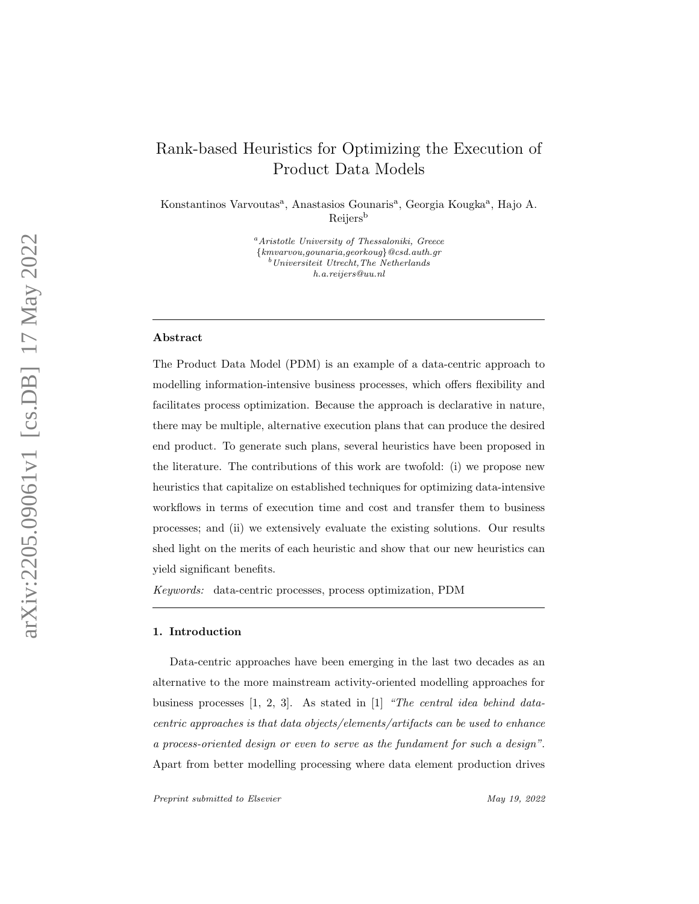# Rank-based Heuristics for Optimizing the Execution of Product Data Models

Konstantinos Varvoutas<sup>a</sup>, Anastasios Gounaris<sup>a</sup>, Georgia Kougka<sup>a</sup>, Hajo A. Reijers b

> <sup>a</sup>Aristotle University of Thessaloniki, Greece {kmvarvou,gounaria,georkoug}@csd.auth.gr <sup>b</sup>Universiteit Utrecht,The Netherlands h.a.reijers@uu.nl

## Abstract

The Product Data Model (PDM) is an example of a data-centric approach to modelling information-intensive business processes, which offers flexibility and facilitates process optimization. Because the approach is declarative in nature, there may be multiple, alternative execution plans that can produce the desired end product. To generate such plans, several heuristics have been proposed in the literature. The contributions of this work are twofold: (i) we propose new heuristics that capitalize on established techniques for optimizing data-intensive workflows in terms of execution time and cost and transfer them to business processes; and (ii) we extensively evaluate the existing solutions. Our results shed light on the merits of each heuristic and show that our new heuristics can yield significant benefits.

Keywords: data-centric processes, process optimization, PDM

#### 1. Introduction

Data-centric approaches have been emerging in the last two decades as an alternative to the more mainstream activity-oriented modelling approaches for business processes [\[1,](#page-30-0) [2,](#page-30-1) [3\]](#page-30-2). As stated in [\[1\]](#page-30-0) "The central idea behind datacentric approaches is that data objects/elements/artifacts can be used to enhance a process-oriented design or even to serve as the fundament for such a design" . Apart from better modelling processing where data element production drives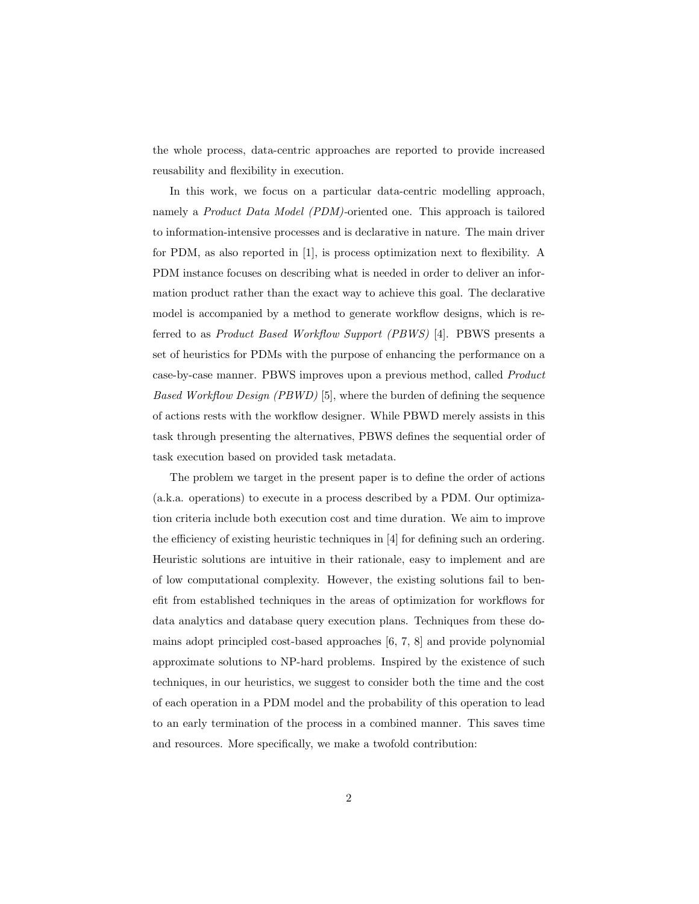the whole process, data-centric approaches are reported to provide increased reusability and flexibility in execution.

In this work, we focus on a particular data-centric modelling approach, namely a Product Data Model (PDM)-oriented one. This approach is tailored to information-intensive processes and is declarative in nature. The main driver for PDM, as also reported in [\[1\]](#page-30-0), is process optimization next to flexibility. A PDM instance focuses on describing what is needed in order to deliver an information product rather than the exact way to achieve this goal. The declarative model is accompanied by a method to generate workflow designs, which is referred to as Product Based Workflow Support (PBWS) [\[4\]](#page-30-3). PBWS presents a set of heuristics for PDMs with the purpose of enhancing the performance on a case-by-case manner. PBWS improves upon a previous method, called Product Based Workflow Design (PBWD) [\[5\]](#page-30-4), where the burden of defining the sequence of actions rests with the workflow designer. While PBWD merely assists in this task through presenting the alternatives, PBWS defines the sequential order of task execution based on provided task metadata.

The problem we target in the present paper is to define the order of actions (a.k.a. operations) to execute in a process described by a PDM. Our optimization criteria include both execution cost and time duration. We aim to improve the efficiency of existing heuristic techniques in [\[4\]](#page-30-3) for defining such an ordering. Heuristic solutions are intuitive in their rationale, easy to implement and are of low computational complexity. However, the existing solutions fail to benefit from established techniques in the areas of optimization for workflows for data analytics and database query execution plans. Techniques from these domains adopt principled cost-based approaches [\[6,](#page-30-5) [7,](#page-30-6) [8\]](#page-30-7) and provide polynomial approximate solutions to NP-hard problems. Inspired by the existence of such techniques, in our heuristics, we suggest to consider both the time and the cost of each operation in a PDM model and the probability of this operation to lead to an early termination of the process in a combined manner. This saves time and resources. More specifically, we make a twofold contribution: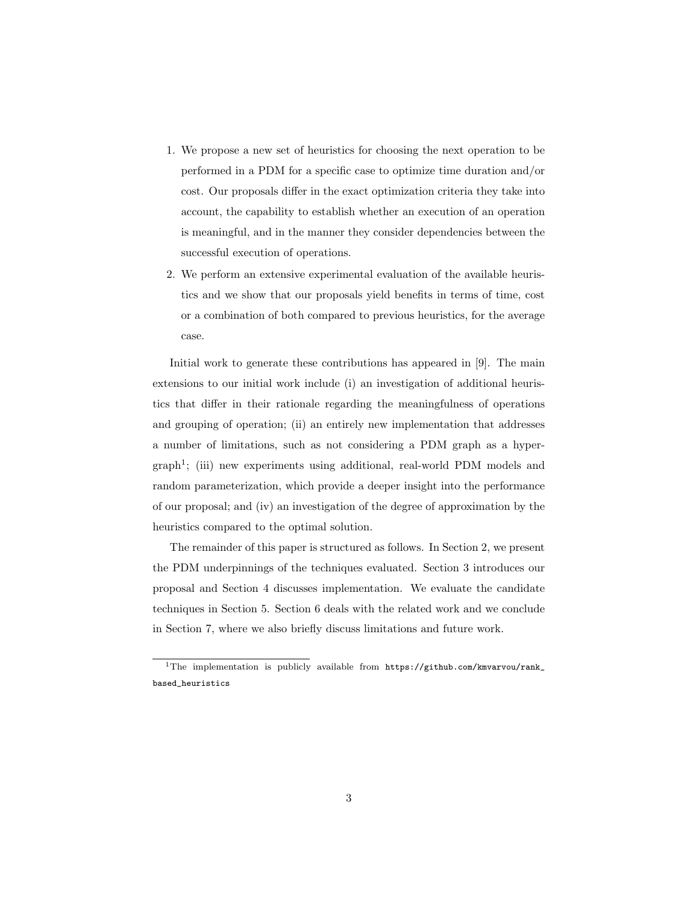- 1. We propose a new set of heuristics for choosing the next operation to be performed in a PDM for a specific case to optimize time duration and/or cost. Our proposals differ in the exact optimization criteria they take into account, the capability to establish whether an execution of an operation is meaningful, and in the manner they consider dependencies between the successful execution of operations.
- 2. We perform an extensive experimental evaluation of the available heuristics and we show that our proposals yield benefits in terms of time, cost or a combination of both compared to previous heuristics, for the average case.

Initial work to generate these contributions has appeared in [\[9\]](#page-30-8). The main extensions to our initial work include (i) an investigation of additional heuristics that differ in their rationale regarding the meaningfulness of operations and grouping of operation; (ii) an entirely new implementation that addresses a number of limitations, such as not considering a PDM graph as a hyper-graph<sup>[1](#page-2-0)</sup>; (iii) new experiments using additional, real-world PDM models and random parameterization, which provide a deeper insight into the performance of our proposal; and (iv) an investigation of the degree of approximation by the heuristics compared to the optimal solution.

The remainder of this paper is structured as follows. In Section [2,](#page-3-0) we present the PDM underpinnings of the techniques evaluated. Section [3](#page-8-0) introduces our proposal and Section [4](#page-14-0) discusses implementation. We evaluate the candidate techniques in Section [5.](#page-17-0) Section [6](#page-26-0) deals with the related work and we conclude in Section [7,](#page-28-0) where we also briefly discuss limitations and future work.

<span id="page-2-0"></span><sup>&</sup>lt;sup>1</sup>The implementation is publicly available from [https://github.com/kmvarvou/rank\\_](https://github.com/kmvarvou/rank_based_heuristics) [based\\_heuristics](https://github.com/kmvarvou/rank_based_heuristics)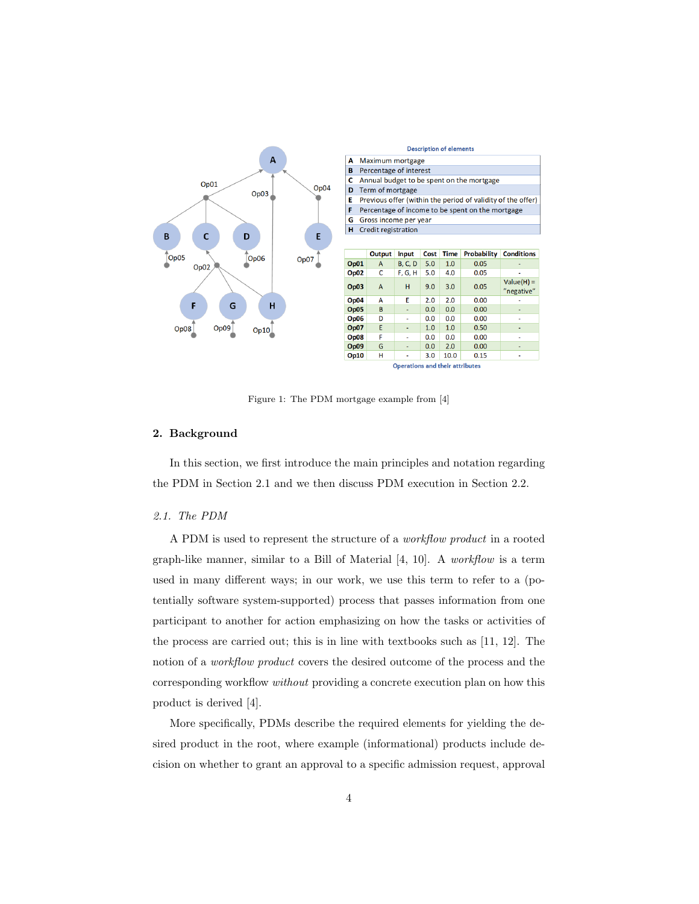

<span id="page-3-2"></span>Figure 1: The PDM mortgage example from [\[4\]](#page-30-3)

## <span id="page-3-0"></span>2. Background

In this section, we first introduce the main principles and notation regarding the PDM in Section [2.1](#page-3-1) and we then discuss PDM execution in Section [2.2.](#page-6-0)

# <span id="page-3-1"></span>2.1. The PDM

A PDM is used to represent the structure of a workflow product in a rooted graph-like manner, similar to a Bill of Material [\[4,](#page-30-3) [10\]](#page-31-0). A workflow is a term used in many different ways; in our work, we use this term to refer to a (potentially software system-supported) process that passes information from one participant to another for action emphasizing on how the tasks or activities of the process are carried out; this is in line with textbooks such as [\[11,](#page-31-1) [12\]](#page-31-2). The notion of a *workflow product* covers the desired outcome of the process and the corresponding workflow without providing a concrete execution plan on how this product is derived [\[4\]](#page-30-3).

More specifically, PDMs describe the required elements for yielding the desired product in the root, where example (informational) products include decision on whether to grant an approval to a specific admission request, approval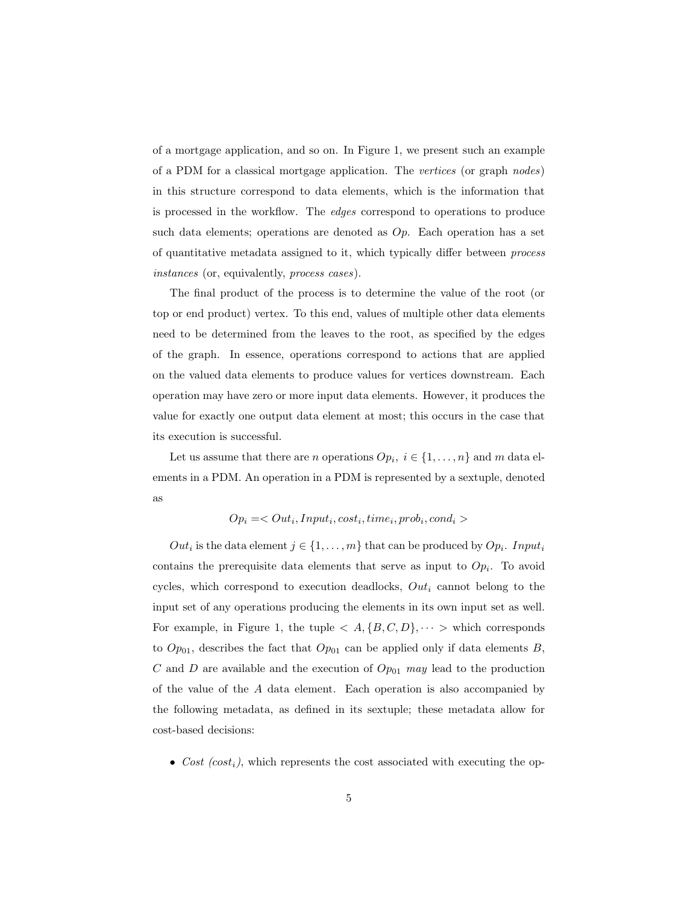of a mortgage application, and so on. In Figure [1,](#page-3-2) we present such an example of a PDM for a classical mortgage application. The vertices (or graph nodes) in this structure correspond to data elements, which is the information that is processed in the workflow. The edges correspond to operations to produce such data elements; operations are denoted as  $Op$ . Each operation has a set of quantitative metadata assigned to it, which typically differ between process instances (or, equivalently, process cases).

The final product of the process is to determine the value of the root (or top or end product) vertex. To this end, values of multiple other data elements need to be determined from the leaves to the root, as specified by the edges of the graph. In essence, operations correspond to actions that are applied on the valued data elements to produce values for vertices downstream. Each operation may have zero or more input data elements. However, it produces the value for exactly one output data element at most; this occurs in the case that its execution is successful.

Let us assume that there are *n* operations  $Op_i$ ,  $i \in \{1, ..., n\}$  and *m* data elements in a PDM. An operation in a PDM is represented by a sextuple, denoted as

 $Op_i =$ 

 $Out_i$  is the data element  $j \in \{1, ..., m\}$  that can be produced by  $Op_i$ . Input<sub>i</sub> contains the prerequisite data elements that serve as input to  $Op_i$ . To avoid cycles, which correspond to execution deadlocks,  $Out_i$  cannot belong to the input set of any operations producing the elements in its own input set as well. For example, in Figure [1,](#page-3-2) the tuple  $\langle A, \{B, C, D\}, \cdots \rangle$  which corresponds to  $Op_{01}$ , describes the fact that  $Op_{01}$  can be applied only if data elements B, C and D are available and the execution of  $Op_{01}$  may lead to the production of the value of the A data element. Each operation is also accompanied by the following metadata, as defined in its sextuple; these metadata allow for cost-based decisions:

• Cost  $(cost_i)$ , which represents the cost associated with executing the op-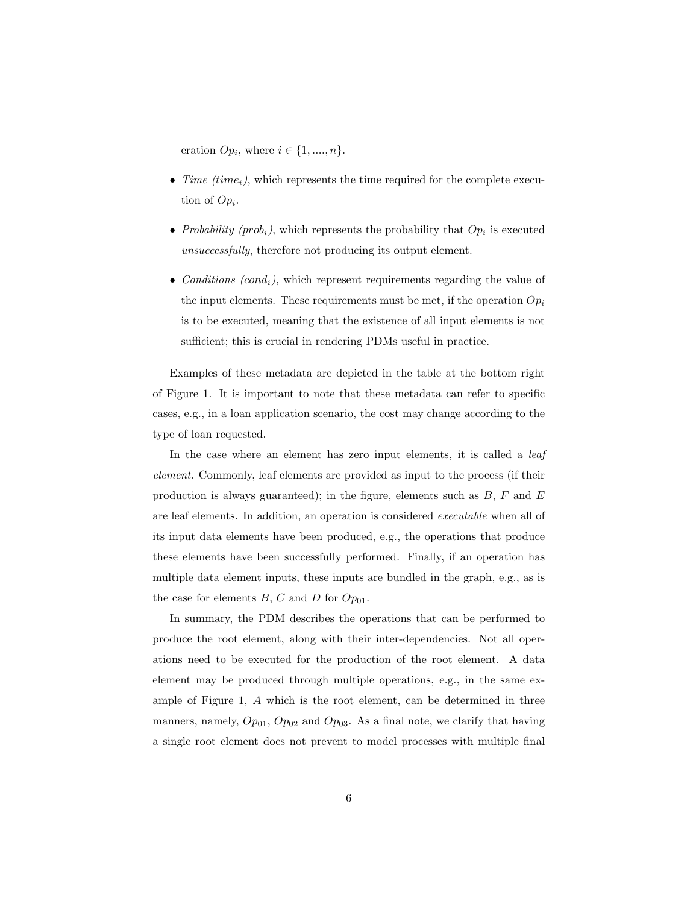eration  $Op_i$ , where  $i \in \{1, ..., n\}$ .

- Time  $(time_i)$ , which represents the time required for the complete execution of  $Op_i$ .
- Probability (prob<sub>i</sub>), which represents the probability that  $Op_i$  is executed unsuccessfully, therefore not producing its output element.
- Conditions  $(cond_i)$ , which represent requirements regarding the value of the input elements. These requirements must be met, if the operation  $Op_i$ is to be executed, meaning that the existence of all input elements is not sufficient; this is crucial in rendering PDMs useful in practice.

Examples of these metadata are depicted in the table at the bottom right of Figure [1.](#page-3-2) It is important to note that these metadata can refer to specific cases, e.g., in a loan application scenario, the cost may change according to the type of loan requested.

In the case where an element has zero input elements, it is called a *leaf* element. Commonly, leaf elements are provided as input to the process (if their production is always guaranteed); in the figure, elements such as  $B$ ,  $F$  and  $E$ are leaf elements. In addition, an operation is considered executable when all of its input data elements have been produced, e.g., the operations that produce these elements have been successfully performed. Finally, if an operation has multiple data element inputs, these inputs are bundled in the graph, e.g., as is the case for elements  $B, C$  and  $D$  for  $Op_{01}$ .

In summary, the PDM describes the operations that can be performed to produce the root element, along with their inter-dependencies. Not all operations need to be executed for the production of the root element. A data element may be produced through multiple operations, e.g., in the same example of Figure [1,](#page-3-2) A which is the root element, can be determined in three manners, namely,  $Op_{01}$ ,  $Op_{02}$  and  $Op_{03}$ . As a final note, we clarify that having a single root element does not prevent to model processes with multiple final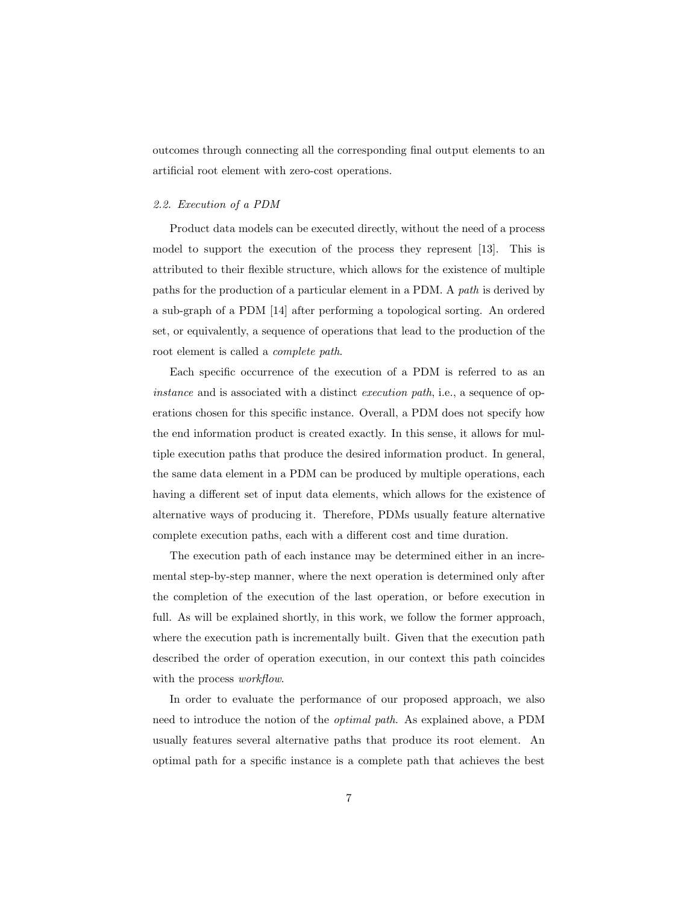outcomes through connecting all the corresponding final output elements to an artificial root element with zero-cost operations.

#### <span id="page-6-0"></span>2.2. Execution of a PDM

Product data models can be executed directly, without the need of a process model to support the execution of the process they represent [\[13\]](#page-31-3). This is attributed to their flexible structure, which allows for the existence of multiple paths for the production of a particular element in a PDM. A path is derived by a sub-graph of a PDM [\[14\]](#page-31-4) after performing a topological sorting. An ordered set, or equivalently, a sequence of operations that lead to the production of the root element is called a complete path.

Each specific occurrence of the execution of a PDM is referred to as an instance and is associated with a distinct *execution path*, i.e., a sequence of operations chosen for this specific instance. Overall, a PDM does not specify how the end information product is created exactly. In this sense, it allows for multiple execution paths that produce the desired information product. In general, the same data element in a PDM can be produced by multiple operations, each having a different set of input data elements, which allows for the existence of alternative ways of producing it. Therefore, PDMs usually feature alternative complete execution paths, each with a different cost and time duration.

The execution path of each instance may be determined either in an incremental step-by-step manner, where the next operation is determined only after the completion of the execution of the last operation, or before execution in full. As will be explained shortly, in this work, we follow the former approach, where the execution path is incrementally built. Given that the execution path described the order of operation execution, in our context this path coincides with the process *workflow*.

In order to evaluate the performance of our proposed approach, we also need to introduce the notion of the optimal path. As explained above, a PDM usually features several alternative paths that produce its root element. An optimal path for a specific instance is a complete path that achieves the best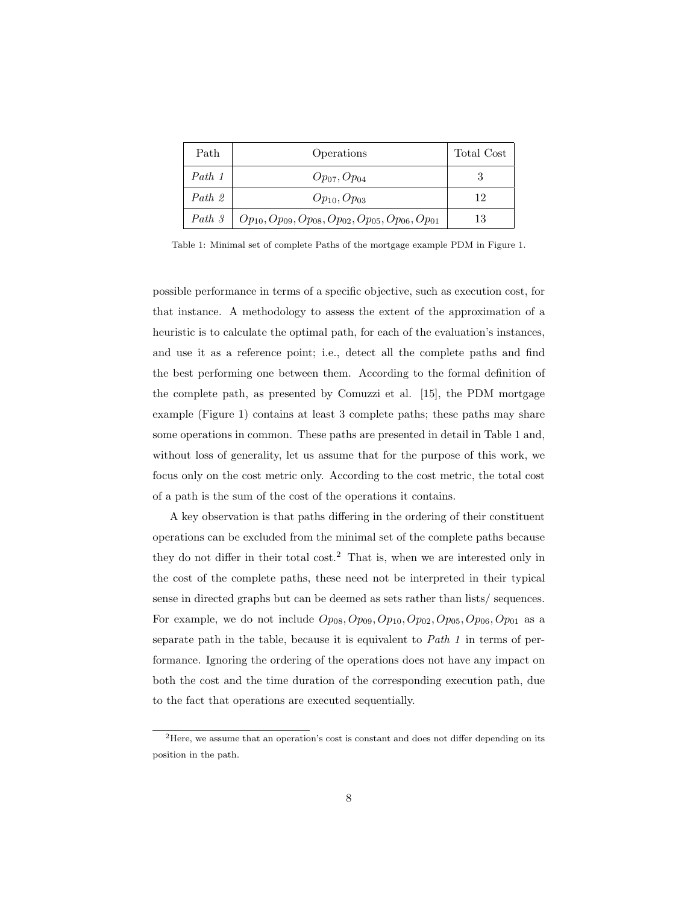| Path   | Operations                                                      | Total Cost |
|--------|-----------------------------------------------------------------|------------|
| Path 1 | $Op_{07}, Op_{04}$                                              |            |
| Path 2 | $Op_{10}, Op_{03}$                                              | 12         |
| Path 3 | $Op_{10}, Op_{09}, Op_{08}, Op_{02}, Op_{05}, Op_{06}, Op_{01}$ | 13         |

<span id="page-7-0"></span>Table 1: Minimal set of complete Paths of the mortgage example PDM in Figure [1.](#page-3-2)

possible performance in terms of a specific objective, such as execution cost, for that instance. A methodology to assess the extent of the approximation of a heuristic is to calculate the optimal path, for each of the evaluation's instances, and use it as a reference point; i.e., detect all the complete paths and find the best performing one between them. According to the formal definition of the complete path, as presented by Comuzzi et al. [\[15\]](#page-31-5), the PDM mortgage example (Figure [1\)](#page-3-2) contains at least 3 complete paths; these paths may share some operations in common. These paths are presented in detail in Table [1](#page-7-0) and, without loss of generality, let us assume that for the purpose of this work, we focus only on the cost metric only. According to the cost metric, the total cost of a path is the sum of the cost of the operations it contains.

A key observation is that paths differing in the ordering of their constituent operations can be excluded from the minimal set of the complete paths because they do not differ in their total cost.[2](#page-7-1) That is, when we are interested only in the cost of the complete paths, these need not be interpreted in their typical sense in directed graphs but can be deemed as sets rather than lists/ sequences. For example, we do not include  $Op_{08}, Op_{09}, Op_{10}, Op_{02}, Op_{05}, Op_{06}, Op_{01}$  as a separate path in the table, because it is equivalent to Path 1 in terms of performance. Ignoring the ordering of the operations does not have any impact on both the cost and the time duration of the corresponding execution path, due to the fact that operations are executed sequentially.

<span id="page-7-1"></span><sup>2</sup>Here, we assume that an operation's cost is constant and does not differ depending on its position in the path.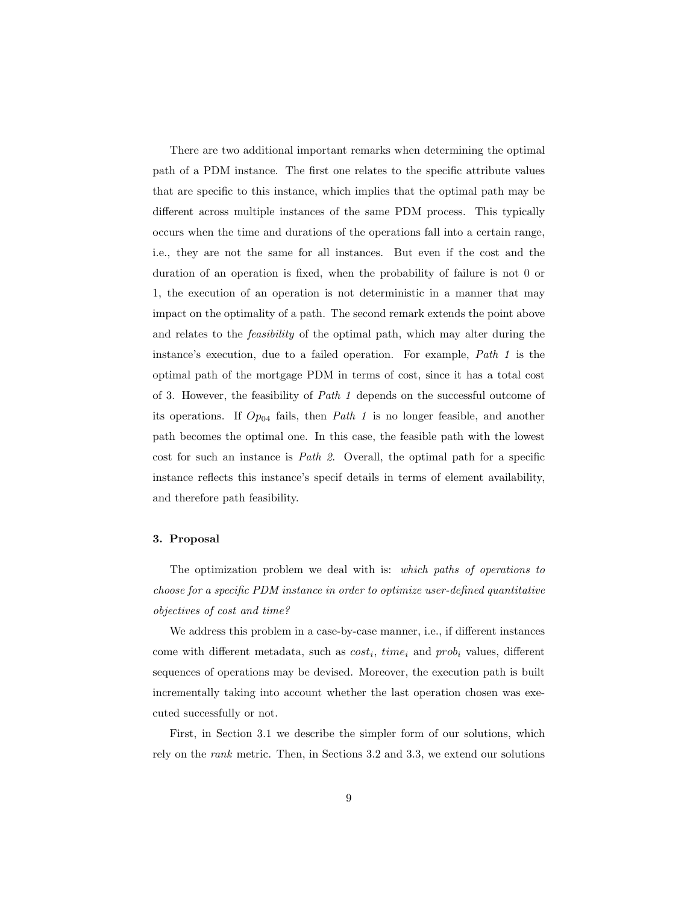There are two additional important remarks when determining the optimal path of a PDM instance. The first one relates to the specific attribute values that are specific to this instance, which implies that the optimal path may be different across multiple instances of the same PDM process. This typically occurs when the time and durations of the operations fall into a certain range, i.e., they are not the same for all instances. But even if the cost and the duration of an operation is fixed, when the probability of failure is not 0 or 1, the execution of an operation is not deterministic in a manner that may impact on the optimality of a path. The second remark extends the point above and relates to the *feasibility* of the optimal path, which may alter during the instance's execution, due to a failed operation. For example, Path 1 is the optimal path of the mortgage PDM in terms of cost, since it has a total cost of 3. However, the feasibility of Path 1 depends on the successful outcome of its operations. If  $Op_{04}$  fails, then *Path 1* is no longer feasible, and another path becomes the optimal one. In this case, the feasible path with the lowest cost for such an instance is Path 2. Overall, the optimal path for a specific instance reflects this instance's specif details in terms of element availability, and therefore path feasibility.

## <span id="page-8-0"></span>3. Proposal

The optimization problem we deal with is: which paths of operations to choose for a specific PDM instance in order to optimize user-defined quantitative objectives of cost and time?

We address this problem in a case-by-case manner, i.e., if different instances come with different metadata, such as  $cost_i$ ,  $time_i$  and  $prob_i$  values, different sequences of operations may be devised. Moreover, the execution path is built incrementally taking into account whether the last operation chosen was executed successfully or not.

First, in Section [3.1](#page-9-0) we describe the simpler form of our solutions, which rely on the rank metric. Then, in Sections [3.2](#page-12-0) and [3.3,](#page-13-0) we extend our solutions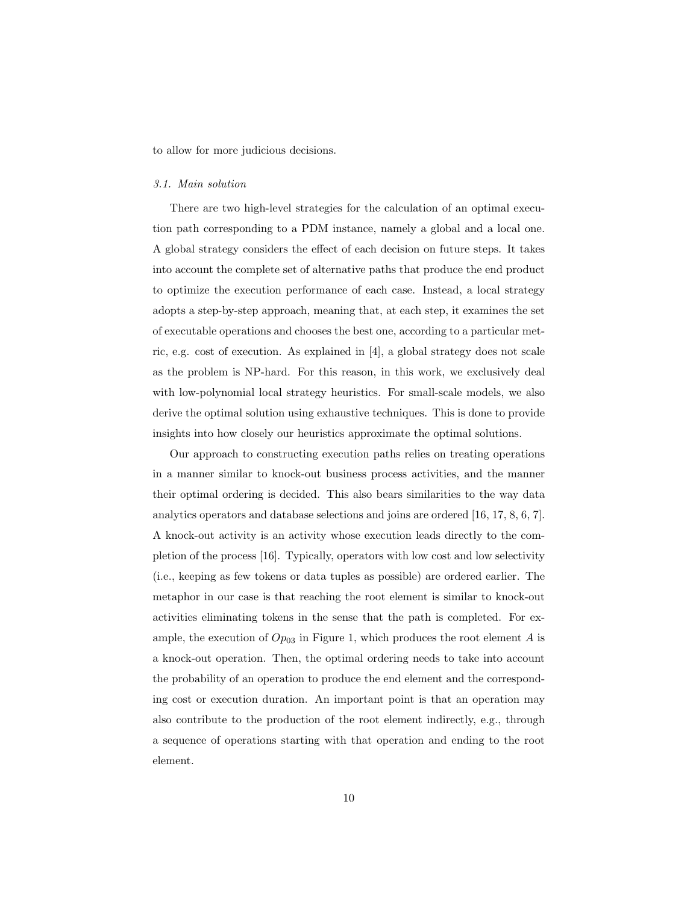to allow for more judicious decisions.

#### <span id="page-9-0"></span>3.1. Main solution

There are two high-level strategies for the calculation of an optimal execution path corresponding to a PDM instance, namely a global and a local one. A global strategy considers the effect of each decision on future steps. It takes into account the complete set of alternative paths that produce the end product to optimize the execution performance of each case. Instead, a local strategy adopts a step-by-step approach, meaning that, at each step, it examines the set of executable operations and chooses the best one, according to a particular metric, e.g. cost of execution. As explained in [\[4\]](#page-30-3), a global strategy does not scale as the problem is NP-hard. For this reason, in this work, we exclusively deal with low-polynomial local strategy heuristics. For small-scale models, we also derive the optimal solution using exhaustive techniques. This is done to provide insights into how closely our heuristics approximate the optimal solutions.

Our approach to constructing execution paths relies on treating operations in a manner similar to knock-out business process activities, and the manner their optimal ordering is decided. This also bears similarities to the way data analytics operators and database selections and joins are ordered [\[16,](#page-31-6) [17,](#page-31-7) [8,](#page-30-7) [6,](#page-30-5) [7\]](#page-30-6). A knock-out activity is an activity whose execution leads directly to the completion of the process [\[16\]](#page-31-6). Typically, operators with low cost and low selectivity (i.e., keeping as few tokens or data tuples as possible) are ordered earlier. The metaphor in our case is that reaching the root element is similar to knock-out activities eliminating tokens in the sense that the path is completed. For example, the execution of  $Op_{03}$  in Figure [1,](#page-3-2) which produces the root element A is a knock-out operation. Then, the optimal ordering needs to take into account the probability of an operation to produce the end element and the corresponding cost or execution duration. An important point is that an operation may also contribute to the production of the root element indirectly, e.g., through a sequence of operations starting with that operation and ending to the root element.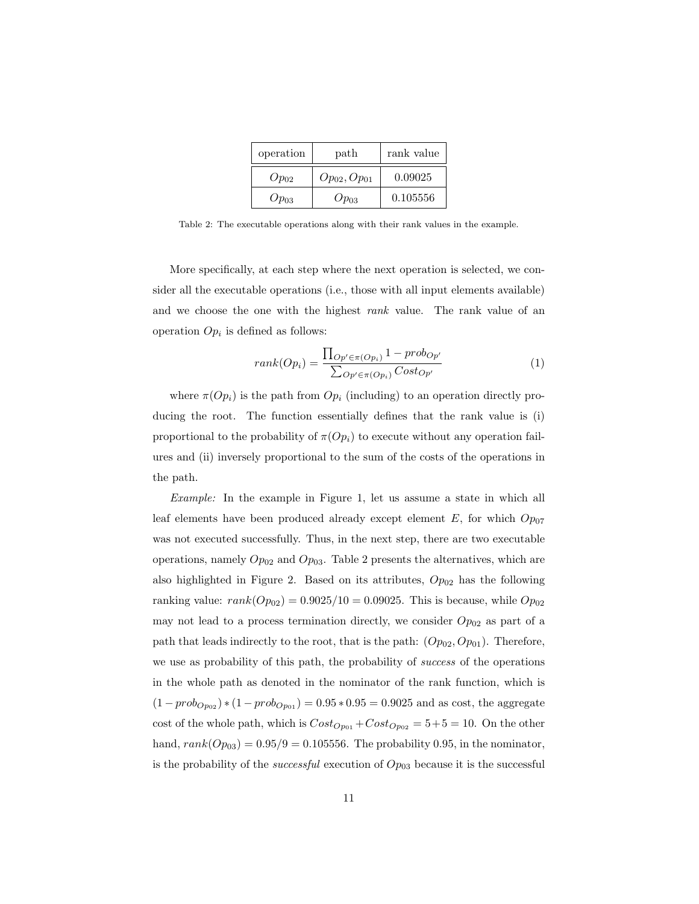| operation | path               | rank value |  |  |
|-----------|--------------------|------------|--|--|
| $Op_{02}$ | $Op_{02}, Op_{01}$ | 0.09025    |  |  |
| $Op_{03}$ | $Op_{03}$          | 0.105556   |  |  |

<span id="page-10-0"></span>Table 2: The executable operations along with their rank values in the example.

More specifically, at each step where the next operation is selected, we consider all the executable operations (i.e., those with all input elements available) and we choose the one with the highest rank value. The rank value of an operation  $Op_i$  is defined as follows:

$$
rank(O_{pi}) = \frac{\prod_{Op' \in \pi(O_{pi})} 1 - prob_{Op'}}{\sum_{Op' \in \pi(O_{pi})} Cost_{Op'}} \tag{1}
$$

where  $\pi(Op_i)$  is the path from  $Op_i$  (including) to an operation directly producing the root. The function essentially defines that the rank value is (i) proportional to the probability of  $\pi(Op_i)$  to execute without any operation failures and (ii) inversely proportional to the sum of the costs of the operations in the path.

Example: In the example in Figure [1,](#page-3-2) let us assume a state in which all leaf elements have been produced already except element E, for which  $Op_{07}$ was not executed successfully. Thus, in the next step, there are two executable operations, namely  $Op_{02}$  and  $Op_{03}$ . Table [2](#page-10-0) presents the alternatives, which are also highlighted in Figure [2.](#page-11-0) Based on its attributes,  $Op_{02}$  has the following ranking value:  $rank(O_{p_{02}}) = 0.9025/10 = 0.09025$ . This is because, while  $Op_{02}$ may not lead to a process termination directly, we consider  $Op_{02}$  as part of a path that leads indirectly to the root, that is the path:  $(Op_{02}, Op_{01})$ . Therefore, we use as probability of this path, the probability of *success* of the operations in the whole path as denoted in the nominator of the rank function, which is  $(1 - prob_{Opo2}) * (1 - prob_{Opo1}) = 0.95 * 0.95 = 0.9025$  and as cost, the aggregate cost of the whole path, which is  $Cost_{Op_{01}} + Cost_{Op_{02}} = 5+5 = 10$ . On the other hand,  $rank(O_{p03}) = 0.95/9 = 0.105556$ . The probability 0.95, in the nominator, is the probability of the *successful* execution of  $Op_{03}$  because it is the successful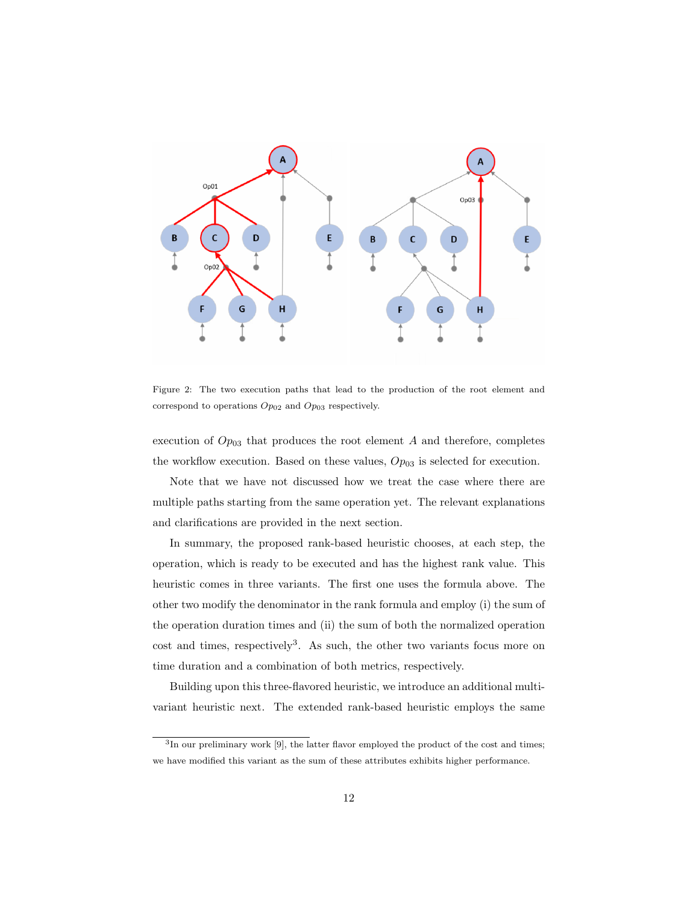

<span id="page-11-0"></span>Figure 2: The two execution paths that lead to the production of the root element and correspond to operations  $Op_{02}$  and  $Op_{03}$  respectively.

execution of  $Op_{03}$  that produces the root element A and therefore, completes the workflow execution. Based on these values,  $Op_{03}$  is selected for execution.

Note that we have not discussed how we treat the case where there are multiple paths starting from the same operation yet. The relevant explanations and clarifications are provided in the next section.

In summary, the proposed rank-based heuristic chooses, at each step, the operation, which is ready to be executed and has the highest rank value. This heuristic comes in three variants. The first one uses the formula above. The other two modify the denominator in the rank formula and employ (i) the sum of the operation duration times and (ii) the sum of both the normalized operation cost and times, respectively<sup>[3](#page-11-1)</sup>. As such, the other two variants focus more on time duration and a combination of both metrics, respectively.

Building upon this three-flavored heuristic, we introduce an additional multivariant heuristic next. The extended rank-based heuristic employs the same

<span id="page-11-1"></span><sup>&</sup>lt;sup>3</sup>In our preliminary work [\[9\]](#page-30-8), the latter flavor employed the product of the cost and times; we have modified this variant as the sum of these attributes exhibits higher performance.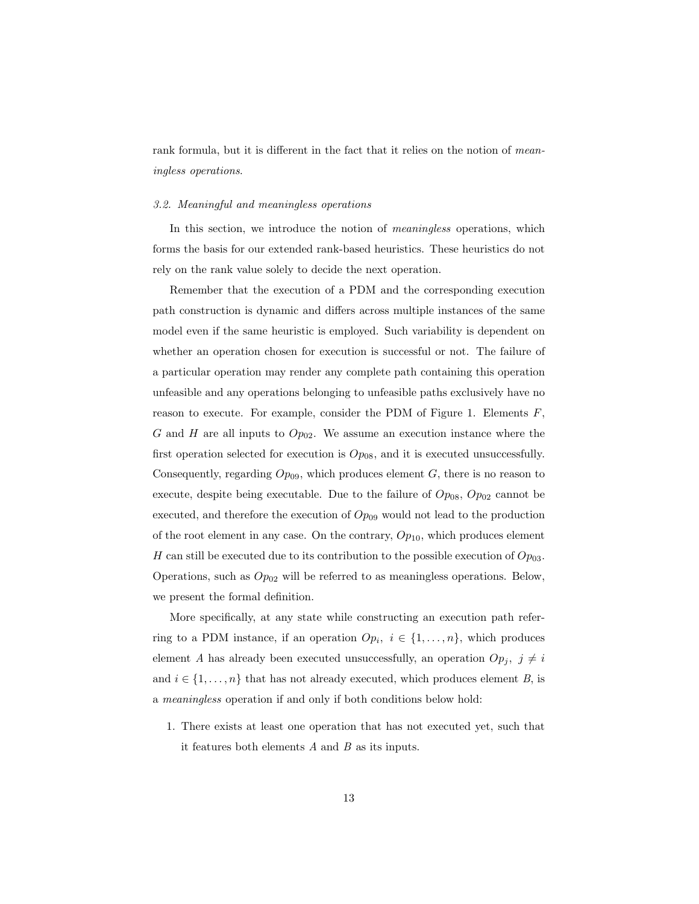rank formula, but it is different in the fact that it relies on the notion of *mean*ingless operations.

#### <span id="page-12-0"></span>3.2. Meaningful and meaningless operations

In this section, we introduce the notion of *meaningless* operations, which forms the basis for our extended rank-based heuristics. These heuristics do not rely on the rank value solely to decide the next operation.

Remember that the execution of a PDM and the corresponding execution path construction is dynamic and differs across multiple instances of the same model even if the same heuristic is employed. Such variability is dependent on whether an operation chosen for execution is successful or not. The failure of a particular operation may render any complete path containing this operation unfeasible and any operations belonging to unfeasible paths exclusively have no reason to execute. For example, consider the PDM of Figure [1.](#page-3-2) Elements  $F$ , G and H are all inputs to  $Op_{02}$ . We assume an execution instance where the first operation selected for execution is  $Op_{08}$ , and it is executed unsuccessfully. Consequently, regarding  $Op_{09}$ , which produces element  $G$ , there is no reason to execute, despite being executable. Due to the failure of  $Op_{08}$ ,  $Op_{02}$  cannot be executed, and therefore the execution of  $Op_{09}$  would not lead to the production of the root element in any case. On the contrary,  $Op_{10}$ , which produces element H can still be executed due to its contribution to the possible execution of  $Op_{03}$ . Operations, such as  $Op_{02}$  will be referred to as meaningless operations. Below, we present the formal definition.

More specifically, at any state while constructing an execution path referring to a PDM instance, if an operation  $Op_i$ ,  $i \in \{1, ..., n\}$ , which produces element A has already been executed unsuccessfully, an operation  $Op_j$ ,  $j \neq i$ and  $i \in \{1, \ldots, n\}$  that has not already executed, which produces element B, is a meaningless operation if and only if both conditions below hold:

1. There exists at least one operation that has not executed yet, such that it features both elements  $A$  and  $B$  as its inputs.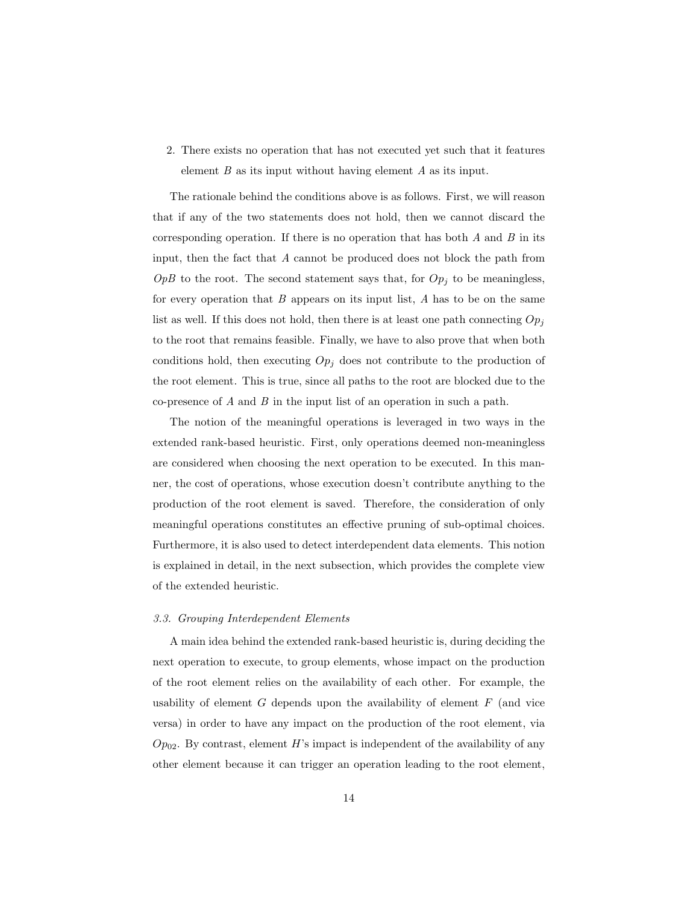2. There exists no operation that has not executed yet such that it features element  $B$  as its input without having element  $A$  as its input.

The rationale behind the conditions above is as follows. First, we will reason that if any of the two statements does not hold, then we cannot discard the corresponding operation. If there is no operation that has both  $A$  and  $B$  in its input, then the fact that A cannot be produced does not block the path from  $OpB$  to the root. The second statement says that, for  $Op<sub>j</sub>$  to be meaningless, for every operation that  $B$  appears on its input list,  $A$  has to be on the same list as well. If this does not hold, then there is at least one path connecting  $Op_j$ to the root that remains feasible. Finally, we have to also prove that when both conditions hold, then executing  $Op_j$  does not contribute to the production of the root element. This is true, since all paths to the root are blocked due to the co-presence of A and B in the input list of an operation in such a path.

The notion of the meaningful operations is leveraged in two ways in the extended rank-based heuristic. First, only operations deemed non-meaningless are considered when choosing the next operation to be executed. In this manner, the cost of operations, whose execution doesn't contribute anything to the production of the root element is saved. Therefore, the consideration of only meaningful operations constitutes an effective pruning of sub-optimal choices. Furthermore, it is also used to detect interdependent data elements. This notion is explained in detail, in the next subsection, which provides the complete view of the extended heuristic.

#### <span id="page-13-0"></span>3.3. Grouping Interdependent Elements

A main idea behind the extended rank-based heuristic is, during deciding the next operation to execute, to group elements, whose impact on the production of the root element relies on the availability of each other. For example, the usability of element  $G$  depends upon the availability of element  $F$  (and vice versa) in order to have any impact on the production of the root element, via  $Op_{02}$ . By contrast, element H's impact is independent of the availability of any other element because it can trigger an operation leading to the root element,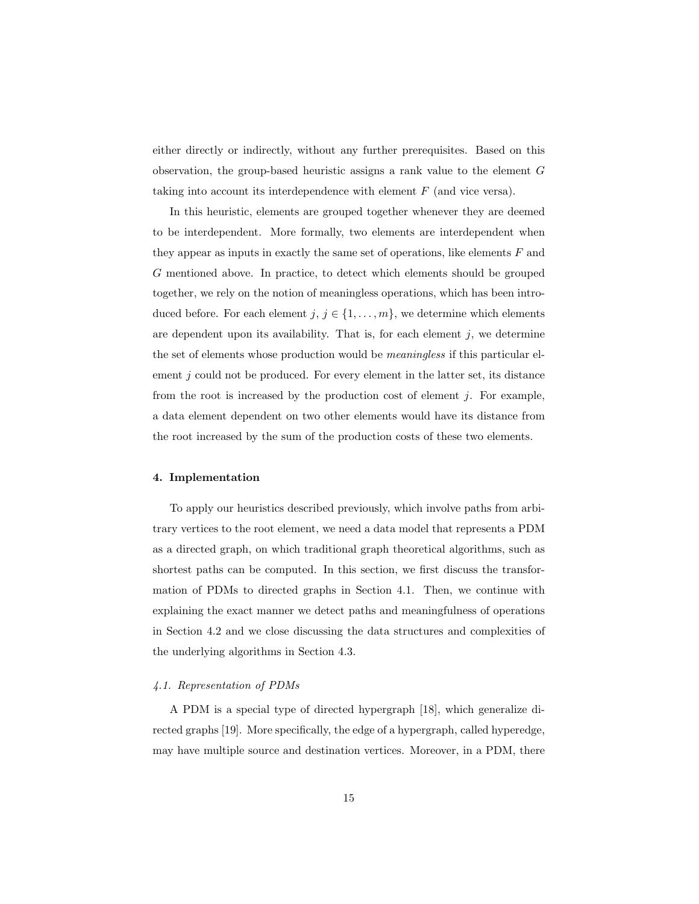either directly or indirectly, without any further prerequisites. Based on this observation, the group-based heuristic assigns a rank value to the element G taking into account its interdependence with element F (and vice versa).

In this heuristic, elements are grouped together whenever they are deemed to be interdependent. More formally, two elements are interdependent when they appear as inputs in exactly the same set of operations, like elements  $F$  and G mentioned above. In practice, to detect which elements should be grouped together, we rely on the notion of meaningless operations, which has been introduced before. For each element  $j, j \in \{1, \ldots, m\}$ , we determine which elements are dependent upon its availability. That is, for each element  $j$ , we determine the set of elements whose production would be meaningless if this particular element  $j$  could not be produced. For every element in the latter set, its distance from the root is increased by the production cost of element  $j$ . For example, a data element dependent on two other elements would have its distance from the root increased by the sum of the production costs of these two elements.

## <span id="page-14-0"></span>4. Implementation

To apply our heuristics described previously, which involve paths from arbitrary vertices to the root element, we need a data model that represents a PDM as a directed graph, on which traditional graph theoretical algorithms, such as shortest paths can be computed. In this section, we first discuss the transformation of PDMs to directed graphs in Section [4.1.](#page-14-1) Then, we continue with explaining the exact manner we detect paths and meaningfulness of operations in Section [4.2](#page-16-0) and we close discussing the data structures and complexities of the underlying algorithms in Section [4.3.](#page-16-1)

## <span id="page-14-1"></span>4.1. Representation of PDMs

A PDM is a special type of directed hypergraph [\[18\]](#page-32-0), which generalize directed graphs [\[19\]](#page-32-1). More specifically, the edge of a hypergraph, called hyperedge, may have multiple source and destination vertices. Moreover, in a PDM, there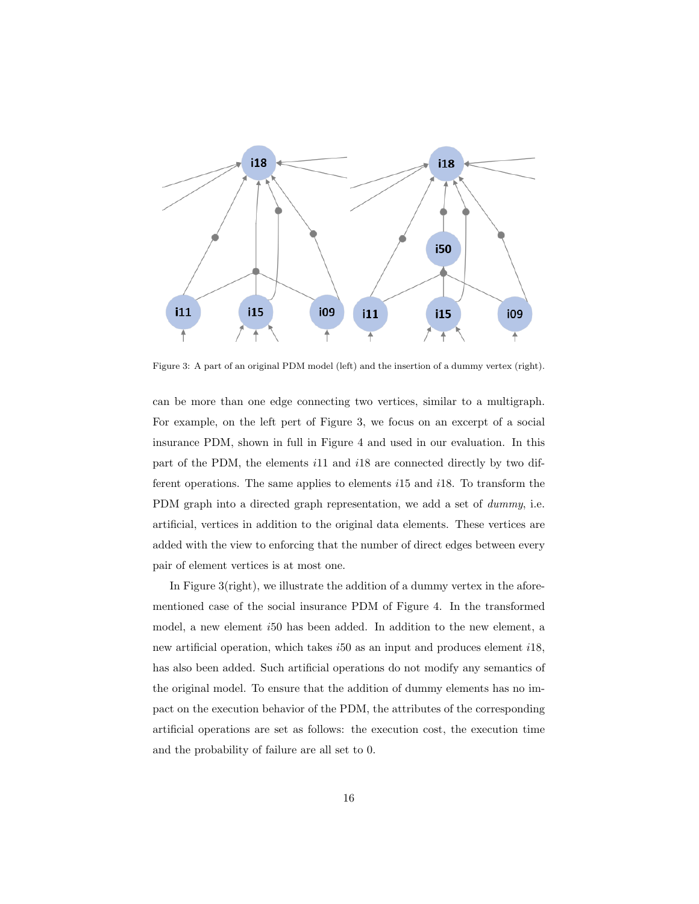

<span id="page-15-0"></span>Figure 3: A part of an original PDM model (left) and the insertion of a dummy vertex (right).

can be more than one edge connecting two vertices, similar to a multigraph. For example, on the left pert of Figure [3,](#page-15-0) we focus on an excerpt of a social insurance PDM, shown in full in Figure [4](#page-18-0) and used in our evaluation. In this part of the PDM, the elements i11 and i18 are connected directly by two different operations. The same applies to elements i15 and i18. To transform the PDM graph into a directed graph representation, we add a set of *dummy*, i.e. artificial, vertices in addition to the original data elements. These vertices are added with the view to enforcing that the number of direct edges between every pair of element vertices is at most one.

In Figure [3\(](#page-15-0)right), we illustrate the addition of a dummy vertex in the aforementioned case of the social insurance PDM of Figure [4.](#page-18-0) In the transformed model, a new element i50 has been added. In addition to the new element, a new artificial operation, which takes i50 as an input and produces element i18, has also been added. Such artificial operations do not modify any semantics of the original model. To ensure that the addition of dummy elements has no impact on the execution behavior of the PDM, the attributes of the corresponding artificial operations are set as follows: the execution cost, the execution time and the probability of failure are all set to 0.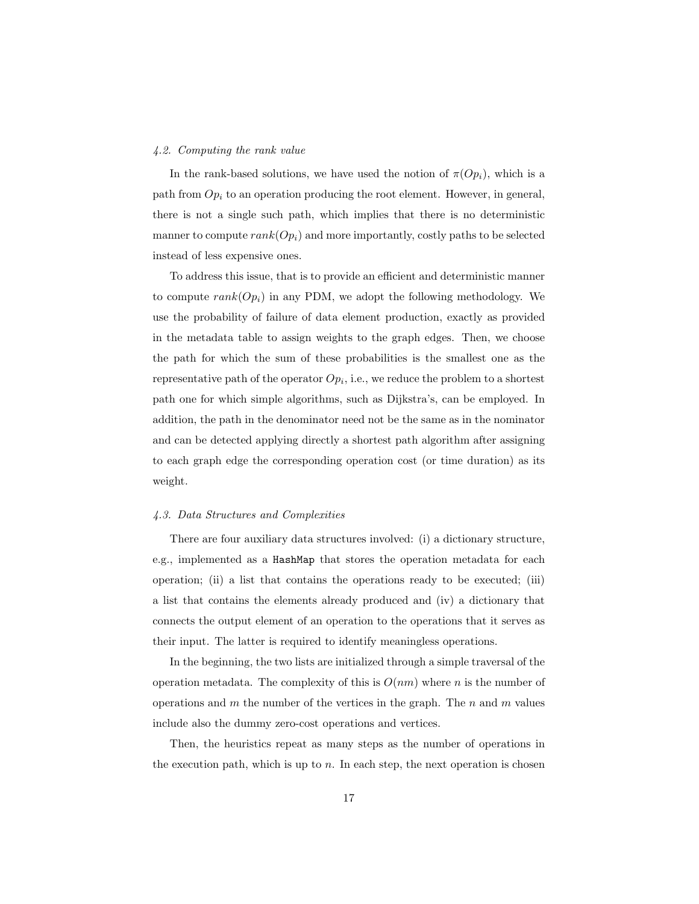#### <span id="page-16-0"></span>4.2. Computing the rank value

In the rank-based solutions, we have used the notion of  $\pi(Op_i)$ , which is a path from  $Op_i$  to an operation producing the root element. However, in general, there is not a single such path, which implies that there is no deterministic manner to compute  $rank(O_{p_i})$  and more importantly, costly paths to be selected instead of less expensive ones.

To address this issue, that is to provide an efficient and deterministic manner to compute  $rank(O_{p_i})$  in any PDM, we adopt the following methodology. We use the probability of failure of data element production, exactly as provided in the metadata table to assign weights to the graph edges. Then, we choose the path for which the sum of these probabilities is the smallest one as the representative path of the operator  $Op_i$ , i.e., we reduce the problem to a shortest path one for which simple algorithms, such as Dijkstra's, can be employed. In addition, the path in the denominator need not be the same as in the nominator and can be detected applying directly a shortest path algorithm after assigning to each graph edge the corresponding operation cost (or time duration) as its weight.

## <span id="page-16-1"></span>4.3. Data Structures and Complexities

There are four auxiliary data structures involved: (i) a dictionary structure, e.g., implemented as a HashMap that stores the operation metadata for each operation; (ii) a list that contains the operations ready to be executed; (iii) a list that contains the elements already produced and (iv) a dictionary that connects the output element of an operation to the operations that it serves as their input. The latter is required to identify meaningless operations.

In the beginning, the two lists are initialized through a simple traversal of the operation metadata. The complexity of this is  $O(nm)$  where n is the number of operations and  $m$  the number of the vertices in the graph. The  $n$  and  $m$  values include also the dummy zero-cost operations and vertices.

Then, the heuristics repeat as many steps as the number of operations in the execution path, which is up to  $n$ . In each step, the next operation is chosen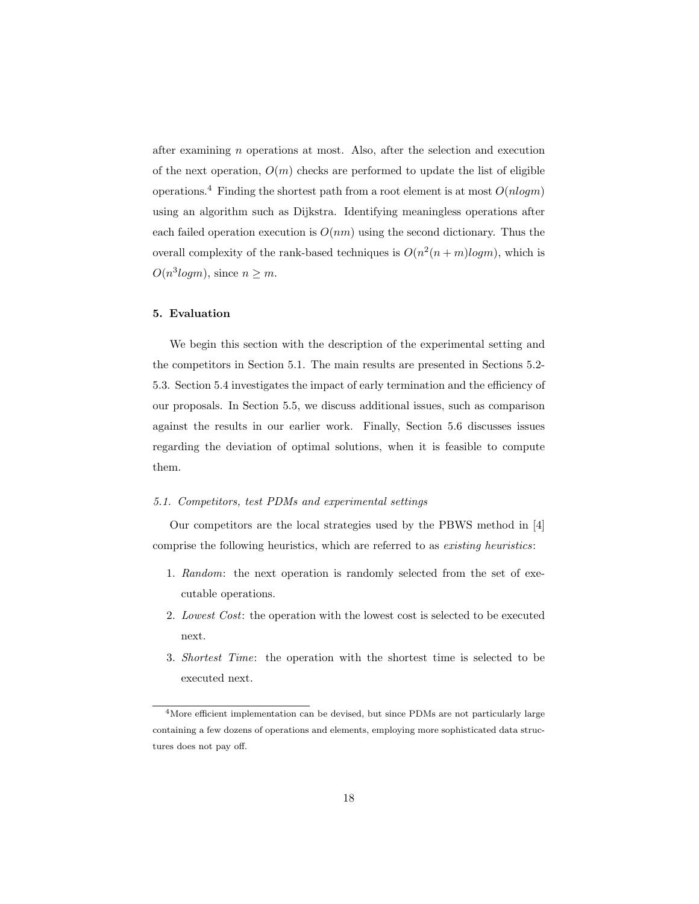after examining n operations at most. Also, after the selection and execution of the next operation,  $O(m)$  checks are performed to update the list of eligible operations.<sup>[4](#page-17-1)</sup> Finding the shortest path from a root element is at most  $O(n \log m)$ using an algorithm such as Dijkstra. Identifying meaningless operations after each failed operation execution is  $O(nm)$  using the second dictionary. Thus the overall complexity of the rank-based techniques is  $O(n^2(n+m)logm)$ , which is  $O(n^3 log m)$ , since  $n \geq m$ .

# <span id="page-17-0"></span>5. Evaluation

We begin this section with the description of the experimental setting and the competitors in Section [5.1.](#page-17-2) The main results are presented in Sections [5.2-](#page-20-0) [5.3.](#page-22-0) Section [5.4](#page-23-0) investigates the impact of early termination and the efficiency of our proposals. In Section [5.5,](#page-24-0) we discuss additional issues, such as comparison against the results in our earlier work. Finally, Section [5.6](#page-25-0) discusses issues regarding the deviation of optimal solutions, when it is feasible to compute them.

# <span id="page-17-2"></span>5.1. Competitors, test PDMs and experimental settings

Our competitors are the local strategies used by the PBWS method in [\[4\]](#page-30-3) comprise the following heuristics, which are referred to as existing heuristics:

- 1. Random: the next operation is randomly selected from the set of executable operations.
- 2. Lowest Cost: the operation with the lowest cost is selected to be executed next.
- 3. Shortest Time: the operation with the shortest time is selected to be executed next.

<span id="page-17-1"></span><sup>&</sup>lt;sup>4</sup>More efficient implementation can be devised, but since PDMs are not particularly large containing a few dozens of operations and elements, employing more sophisticated data structures does not pay off.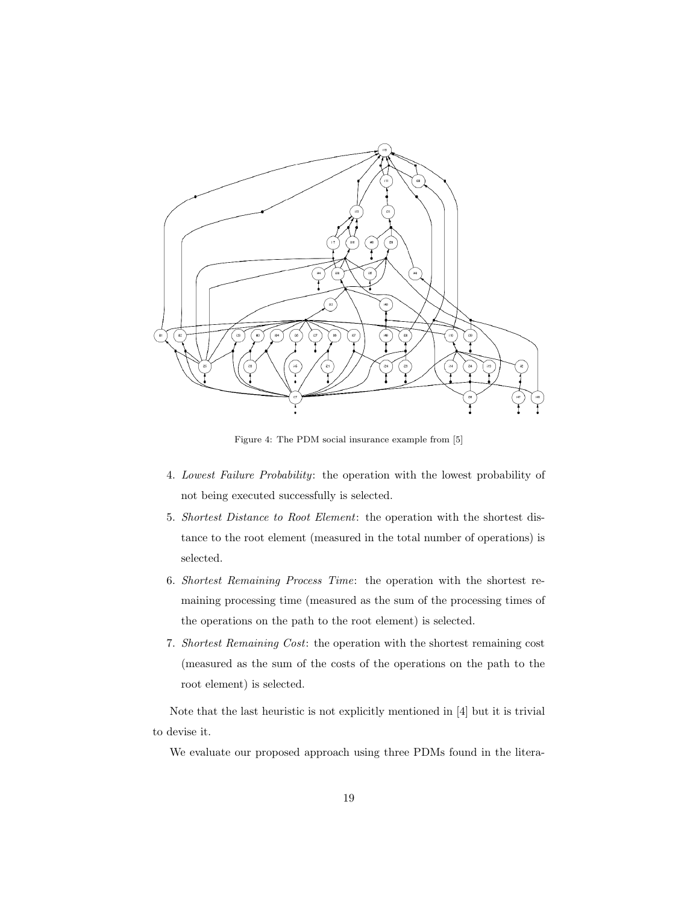

<span id="page-18-0"></span>Figure 4: The PDM social insurance example from [\[5\]](#page-30-4)

- 4. Lowest Failure Probability: the operation with the lowest probability of not being executed successfully is selected.
- 5. Shortest Distance to Root Element: the operation with the shortest distance to the root element (measured in the total number of operations) is selected.
- 6. Shortest Remaining Process Time: the operation with the shortest remaining processing time (measured as the sum of the processing times of the operations on the path to the root element) is selected.
- 7. Shortest Remaining Cost: the operation with the shortest remaining cost (measured as the sum of the costs of the operations on the path to the root element) is selected.

Note that the last heuristic is not explicitly mentioned in [\[4\]](#page-30-3) but it is trivial to devise it.

We evaluate our proposed approach using three PDMs found in the litera-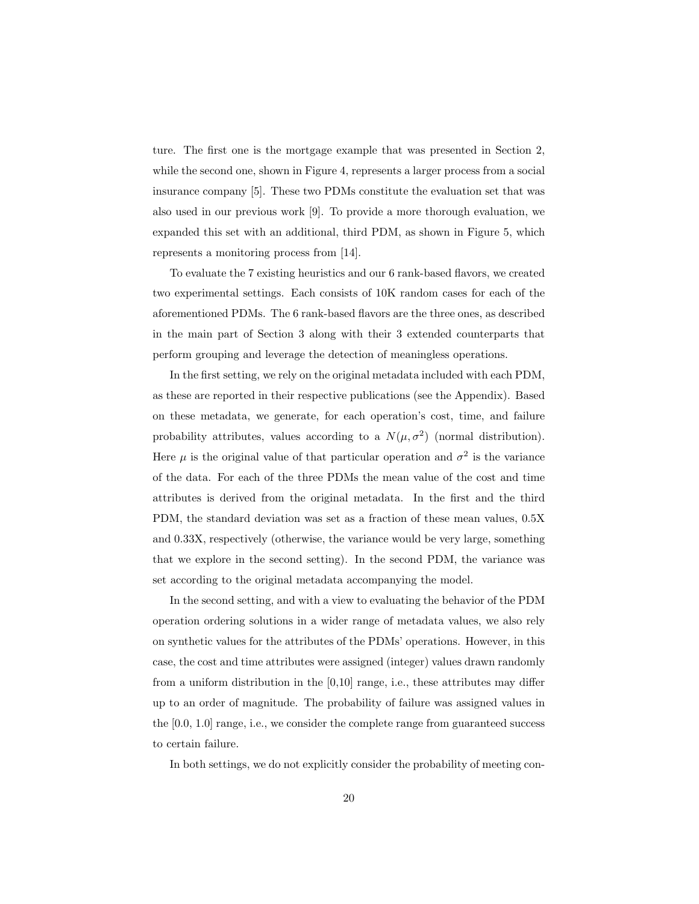ture. The first one is the mortgage example that was presented in Section [2,](#page-3-0) while the second one, shown in Figure [4,](#page-18-0) represents a larger process from a social insurance company [\[5\]](#page-30-4). These two PDMs constitute the evaluation set that was also used in our previous work [\[9\]](#page-30-8). To provide a more thorough evaluation, we expanded this set with an additional, third PDM, as shown in Figure [5,](#page-20-1) which represents a monitoring process from [\[14\]](#page-31-4).

To evaluate the 7 existing heuristics and our 6 rank-based flavors, we created two experimental settings. Each consists of 10K random cases for each of the aforementioned PDMs. The 6 rank-based flavors are the three ones, as described in the main part of Section [3](#page-8-0) along with their 3 extended counterparts that perform grouping and leverage the detection of meaningless operations.

In the first setting, we rely on the original metadata included with each PDM, as these are reported in their respective publications (see the Appendix). Based on these metadata, we generate, for each operation's cost, time, and failure probability attributes, values according to a  $N(\mu, \sigma^2)$  (normal distribution). Here  $\mu$  is the original value of that particular operation and  $\sigma^2$  is the variance of the data. For each of the three PDMs the mean value of the cost and time attributes is derived from the original metadata. In the first and the third PDM, the standard deviation was set as a fraction of these mean values, 0.5X and 0.33X, respectively (otherwise, the variance would be very large, something that we explore in the second setting). In the second PDM, the variance was set according to the original metadata accompanying the model.

In the second setting, and with a view to evaluating the behavior of the PDM operation ordering solutions in a wider range of metadata values, we also rely on synthetic values for the attributes of the PDMs' operations. However, in this case, the cost and time attributes were assigned (integer) values drawn randomly from a uniform distribution in the [0,10] range, i.e., these attributes may differ up to an order of magnitude. The probability of failure was assigned values in the [0.0, 1.0] range, i.e., we consider the complete range from guaranteed success to certain failure.

In both settings, we do not explicitly consider the probability of meeting con-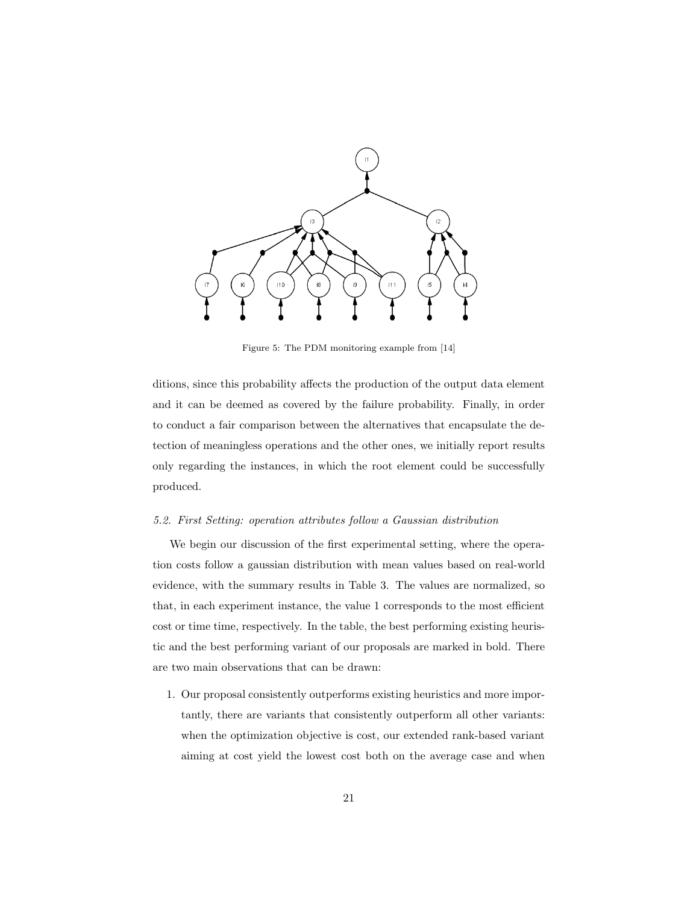

<span id="page-20-1"></span>Figure 5: The PDM monitoring example from [\[14\]](#page-31-4)

ditions, since this probability affects the production of the output data element and it can be deemed as covered by the failure probability. Finally, in order to conduct a fair comparison between the alternatives that encapsulate the detection of meaningless operations and the other ones, we initially report results only regarding the instances, in which the root element could be successfully produced.

#### <span id="page-20-0"></span>5.2. First Setting: operation attributes follow a Gaussian distribution

We begin our discussion of the first experimental setting, where the operation costs follow a gaussian distribution with mean values based on real-world evidence, with the summary results in Table [3.](#page-21-0) The values are normalized, so that, in each experiment instance, the value 1 corresponds to the most efficient cost or time time, respectively. In the table, the best performing existing heuristic and the best performing variant of our proposals are marked in bold. There are two main observations that can be drawn:

1. Our proposal consistently outperforms existing heuristics and more importantly, there are variants that consistently outperform all other variants: when the optimization objective is cost, our extended rank-based variant aiming at cost yield the lowest cost both on the average case and when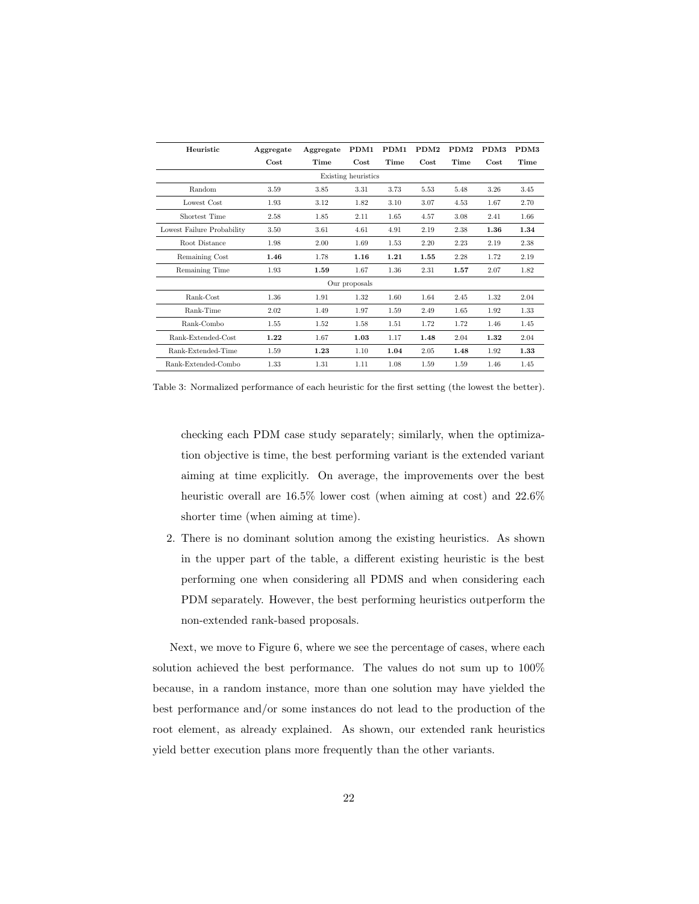| Heuristic                  | Aggregate | Aggregate | PDM1          | PDM1 | PDM <sub>2</sub> | PDM <sub>2</sub> | PDM3 | PDM3 |
|----------------------------|-----------|-----------|---------------|------|------------------|------------------|------|------|
|                            | Cost.     | Time      | Cost.         | Time | Cost             | Time             | Cost | Time |
| Existing heuristics        |           |           |               |      |                  |                  |      |      |
| Random                     | 3.59      | 3.85      | 3.31          | 3.73 | 5.53             | 5.48             | 3.26 | 3.45 |
| Lowest Cost                | 1.93      | 3.12      | 1.82          | 3.10 | 3.07             | 4.53             | 1.67 | 2.70 |
| Shortest Time              | 2.58      | 1.85      | 2.11          | 1.65 | 4.57             | 3.08             | 2.41 | 1.66 |
| Lowest Failure Probability | 3.50      | 3.61      | 4.61          | 4.91 | 2.19             | 2.38             | 1.36 | 1.34 |
| Root Distance              | 1.98      | 2.00      | 1.69          | 1.53 | 2.20             | 2.23             | 2.19 | 2.38 |
| Remaining Cost             | 1.46      | 1.78      | 1.16          | 1.21 | 1.55             | 2.28             | 1.72 | 2.19 |
| Remaining Time             | 1.93      | 1.59      | 1.67          | 1.36 | 2.31             | 1.57             | 2.07 | 1.82 |
|                            |           |           | Our proposals |      |                  |                  |      |      |
| Rank-Cost                  | 1.36      | 1.91      | 1.32          | 1.60 | 1.64             | 2.45             | 1.32 | 2.04 |
| Rank-Time                  | 2.02      | 1.49      | 1.97          | 1.59 | 2.49             | 1.65             | 1.92 | 1.33 |
| Rank-Combo                 | 1.55      | 1.52      | 1.58          | 1.51 | 1.72             | 1.72             | 1.46 | 1.45 |
| Rank-Extended-Cost         | 1.22      | 1.67      | 1.03          | 1.17 | 1.48             | 2.04             | 1.32 | 2.04 |
| Rank-Extended-Time         | 1.59      | 1.23      | 1.10          | 1.04 | 2.05             | 1.48             | 1.92 | 1.33 |
| Rank-Extended-Combo        | 1.33      | 1.31      | 1.11          | 1.08 | 1.59             | 1.59             | 1.46 | 1.45 |

<span id="page-21-0"></span>Table 3: Normalized performance of each heuristic for the first setting (the lowest the better).

checking each PDM case study separately; similarly, when the optimization objective is time, the best performing variant is the extended variant aiming at time explicitly. On average, the improvements over the best heuristic overall are  $16.5\%$  lower cost (when aiming at cost) and  $22.6\%$ shorter time (when aiming at time).

2. There is no dominant solution among the existing heuristics. As shown in the upper part of the table, a different existing heuristic is the best performing one when considering all PDMS and when considering each PDM separately. However, the best performing heuristics outperform the non-extended rank-based proposals.

Next, we move to Figure [6,](#page-22-1) where we see the percentage of cases, where each solution achieved the best performance. The values do not sum up to 100% because, in a random instance, more than one solution may have yielded the best performance and/or some instances do not lead to the production of the root element, as already explained. As shown, our extended rank heuristics yield better execution plans more frequently than the other variants.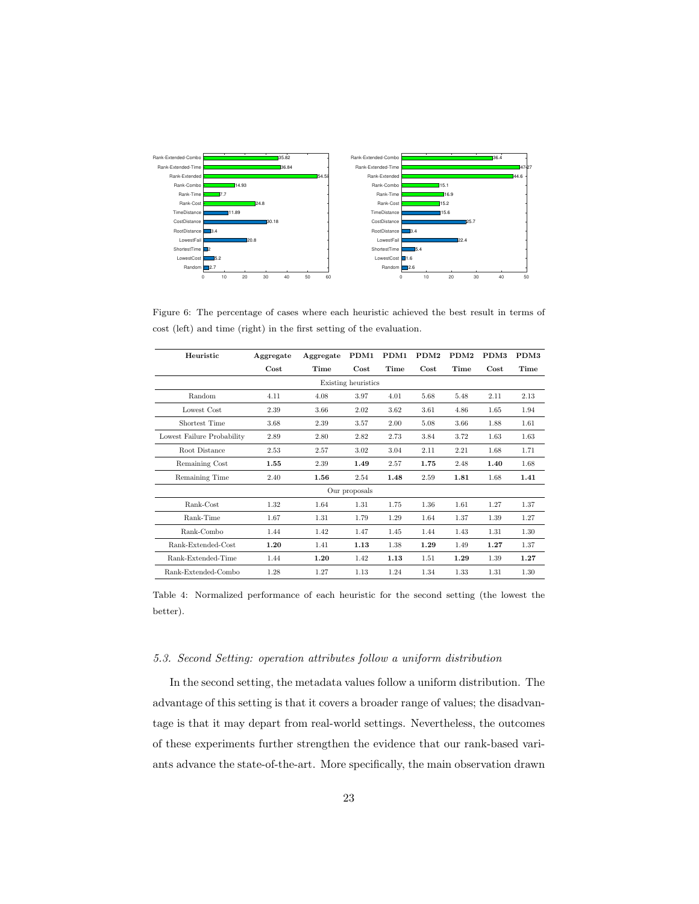

<span id="page-22-1"></span>Figure 6: The percentage of cases where each heuristic achieved the best result in terms of cost (left) and time (right) in the first setting of the evaluation.

| Heuristic                  | Aggregate | Aggregate | PDM1          | PDM1 | PDM <sub>2</sub> | PDM2 | PDM3 | PDM3 |
|----------------------------|-----------|-----------|---------------|------|------------------|------|------|------|
|                            | Cost      | Time      | Cost.         | Time | Cost             | Time | Cost | Time |
| Existing heuristics        |           |           |               |      |                  |      |      |      |
| Random                     | 4.11      | 4.08      | 3.97          | 4.01 | 5.68             | 5.48 | 2.11 | 2.13 |
| Lowest Cost                | 2.39      | 3.66      | 2.02          | 3.62 | 3.61             | 4.86 | 1.65 | 1.94 |
| Shortest Time              | 3.68      | 2.39      | 3.57          | 2.00 | 5.08             | 3.66 | 1.88 | 1.61 |
| Lowest Failure Probability | 2.89      | 2.80      | 2.82          | 2.73 | 3.84             | 3.72 | 1.63 | 1.63 |
| Root Distance              | 2.53      | 2.57      | 3.02          | 3.04 | 2.11             | 2.21 | 1.68 | 1.71 |
| Remaining Cost             | 1.55      | 2.39      | 1.49          | 2.57 | 1.75             | 2.48 | 1.40 | 1.68 |
| Remaining Time             | 2.40      | 1.56      | 2.54          | 1.48 | 2.59             | 1.81 | 1.68 | 1.41 |
|                            |           |           | Our proposals |      |                  |      |      |      |
| Rank-Cost                  | 1.32      | 1.64      | 1.31          | 1.75 | 1.36             | 1.61 | 1.27 | 1.37 |
| Rank-Time                  | 1.67      | 1.31      | 1.79          | 1.29 | 1.64             | 1.37 | 1.39 | 1.27 |
| Rank-Combo                 | 1.44      | 1.42      | 1.47          | 1.45 | 1.44             | 1.43 | 1.31 | 1.30 |
| Rank-Extended-Cost         | 1.20      | 1.41      | 1.13          | 1.38 | 1.29             | 1.49 | 1.27 | 1.37 |
| <b>Bank-Extended-Time</b>  | 1.44      | 1.20      | 1.42          | 1.13 | 1.51             | 1.29 | 1.39 | 1.27 |
| Rank-Extended-Combo        | 1.28      | 1.27      | 1.13          | 1.24 | 1.34             | 1.33 | 1.31 | 1.30 |

<span id="page-22-2"></span>Table 4: Normalized performance of each heuristic for the second setting (the lowest the better).

# <span id="page-22-0"></span>5.3. Second Setting: operation attributes follow a uniform distribution

In the second setting, the metadata values follow a uniform distribution. The advantage of this setting is that it covers a broader range of values; the disadvantage is that it may depart from real-world settings. Nevertheless, the outcomes of these experiments further strengthen the evidence that our rank-based variants advance the state-of-the-art. More specifically, the main observation drawn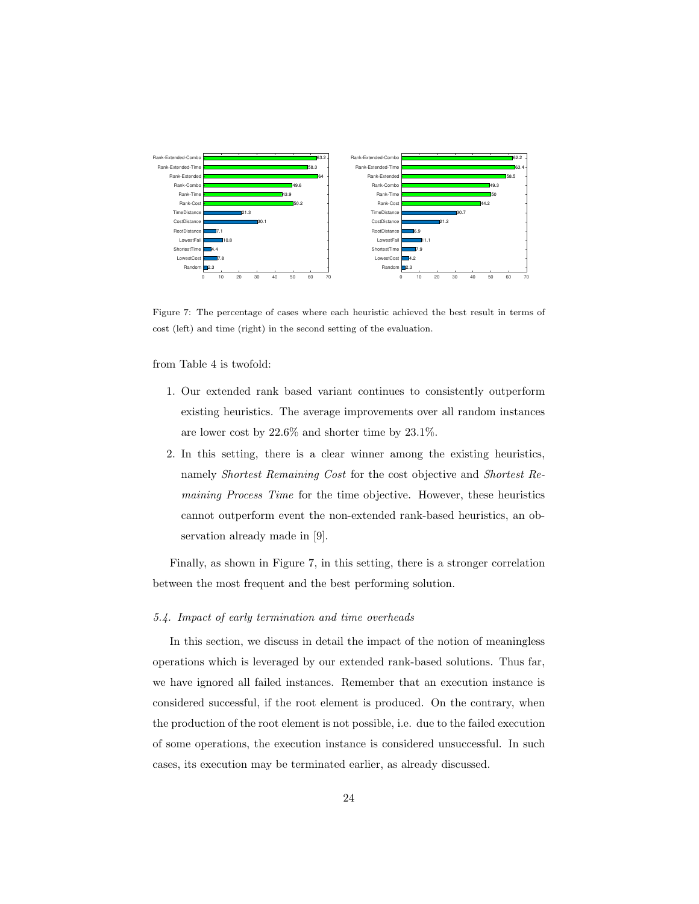

<span id="page-23-1"></span>Figure 7: The percentage of cases where each heuristic achieved the best result in terms of cost (left) and time (right) in the second setting of the evaluation.

from Table [4](#page-22-2) is twofold:

- 1. Our extended rank based variant continues to consistently outperform existing heuristics. The average improvements over all random instances are lower cost by 22.6% and shorter time by 23.1%.
- 2. In this setting, there is a clear winner among the existing heuristics, namely Shortest Remaining Cost for the cost objective and Shortest Remaining Process Time for the time objective. However, these heuristics cannot outperform event the non-extended rank-based heuristics, an observation already made in [\[9\]](#page-30-8).

Finally, as shown in Figure [7,](#page-23-1) in this setting, there is a stronger correlation between the most frequent and the best performing solution.

#### <span id="page-23-0"></span>5.4. Impact of early termination and time overheads

In this section, we discuss in detail the impact of the notion of meaningless operations which is leveraged by our extended rank-based solutions. Thus far, we have ignored all failed instances. Remember that an execution instance is considered successful, if the root element is produced. On the contrary, when the production of the root element is not possible, i.e. due to the failed execution of some operations, the execution instance is considered unsuccessful. In such cases, its execution may be terminated earlier, as already discussed.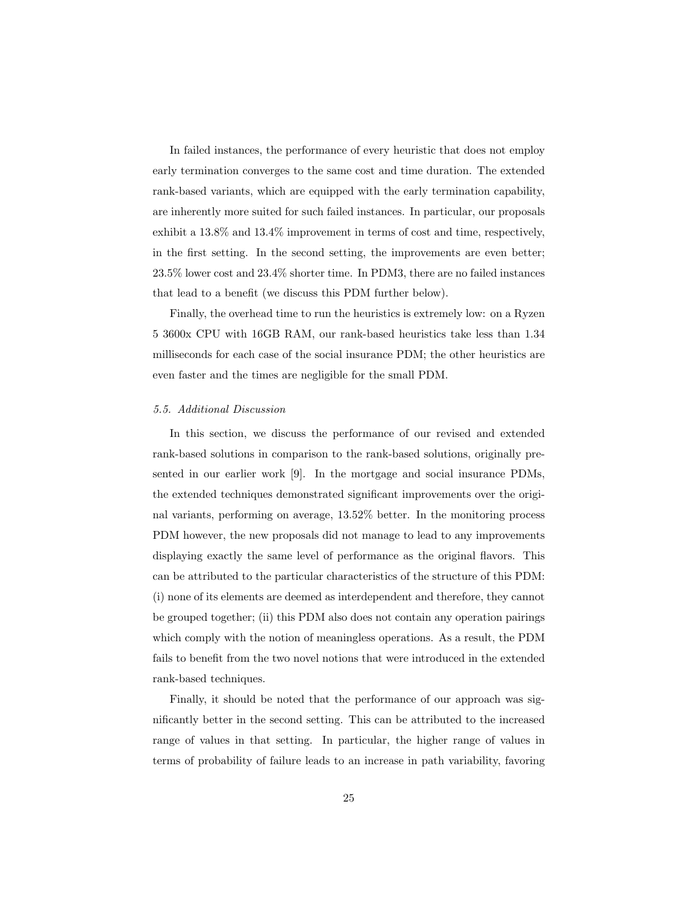In failed instances, the performance of every heuristic that does not employ early termination converges to the same cost and time duration. The extended rank-based variants, which are equipped with the early termination capability, are inherently more suited for such failed instances. In particular, our proposals exhibit a 13.8% and 13.4% improvement in terms of cost and time, respectively, in the first setting. In the second setting, the improvements are even better; 23.5% lower cost and 23.4% shorter time. In PDM3, there are no failed instances that lead to a benefit (we discuss this PDM further below).

Finally, the overhead time to run the heuristics is extremely low: on a Ryzen 5 3600x CPU with 16GB RAM, our rank-based heuristics take less than 1.34 milliseconds for each case of the social insurance PDM; the other heuristics are even faster and the times are negligible for the small PDM.

#### <span id="page-24-0"></span>5.5. Additional Discussion

In this section, we discuss the performance of our revised and extended rank-based solutions in comparison to the rank-based solutions, originally presented in our earlier work [\[9\]](#page-30-8). In the mortgage and social insurance PDMs, the extended techniques demonstrated significant improvements over the original variants, performing on average, 13.52% better. In the monitoring process PDM however, the new proposals did not manage to lead to any improvements displaying exactly the same level of performance as the original flavors. This can be attributed to the particular characteristics of the structure of this PDM: (i) none of its elements are deemed as interdependent and therefore, they cannot be grouped together; (ii) this PDM also does not contain any operation pairings which comply with the notion of meaningless operations. As a result, the PDM fails to benefit from the two novel notions that were introduced in the extended rank-based techniques.

Finally, it should be noted that the performance of our approach was significantly better in the second setting. This can be attributed to the increased range of values in that setting. In particular, the higher range of values in terms of probability of failure leads to an increase in path variability, favoring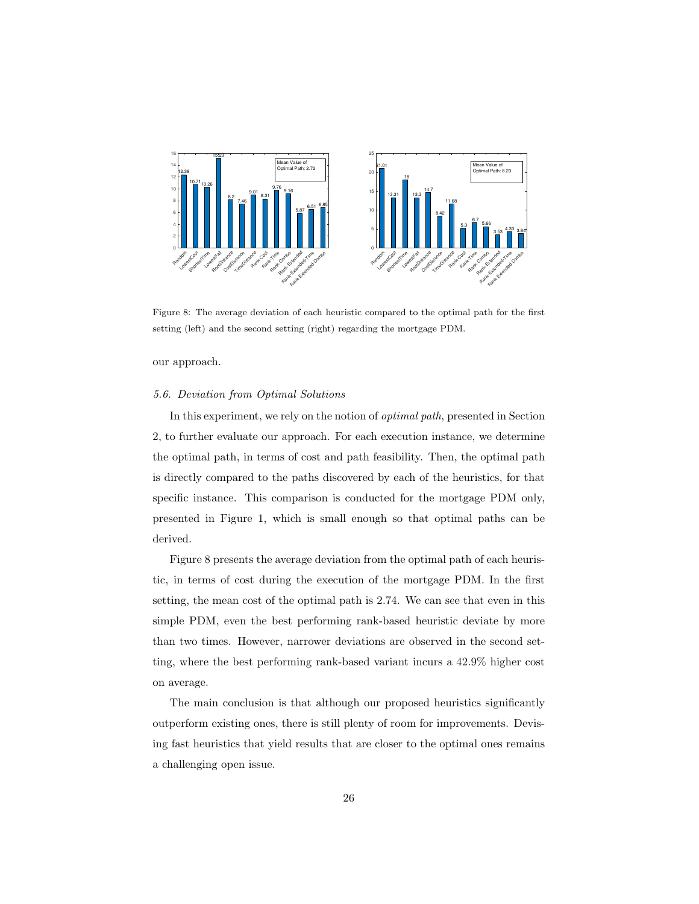

<span id="page-25-1"></span>Figure 8: The average deviation of each heuristic compared to the optimal path for the first setting (left) and the second setting (right) regarding the mortgage PDM.

our approach.

## <span id="page-25-0"></span>5.6. Deviation from Optimal Solutions

In this experiment, we rely on the notion of optimal path, presented in Section [2,](#page-3-0) to further evaluate our approach. For each execution instance, we determine the optimal path, in terms of cost and path feasibility. Then, the optimal path is directly compared to the paths discovered by each of the heuristics, for that specific instance. This comparison is conducted for the mortgage PDM only, presented in Figure [1,](#page-3-2) which is small enough so that optimal paths can be derived.

Figure [8](#page-25-1) presents the average deviation from the optimal path of each heuristic, in terms of cost during the execution of the mortgage PDM. In the first setting, the mean cost of the optimal path is 2.74. We can see that even in this simple PDM, even the best performing rank-based heuristic deviate by more than two times. However, narrower deviations are observed in the second setting, where the best performing rank-based variant incurs a 42.9% higher cost on average.

The main conclusion is that although our proposed heuristics significantly outperform existing ones, there is still plenty of room for improvements. Devising fast heuristics that yield results that are closer to the optimal ones remains a challenging open issue.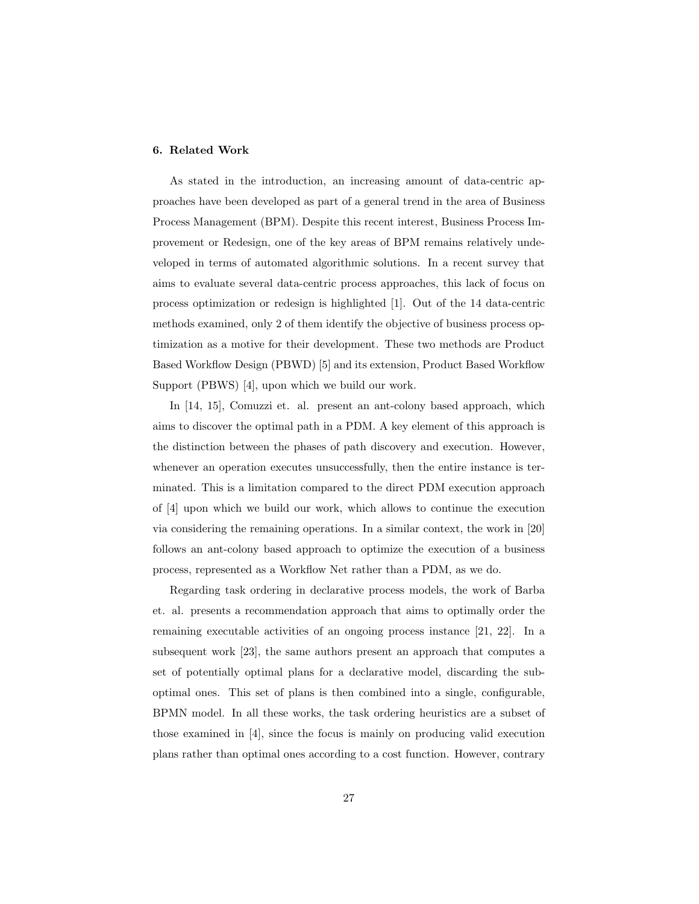## <span id="page-26-0"></span>6. Related Work

As stated in the introduction, an increasing amount of data-centric approaches have been developed as part of a general trend in the area of Business Process Management (BPM). Despite this recent interest, Business Process Improvement or Redesign, one of the key areas of BPM remains relatively undeveloped in terms of automated algorithmic solutions. In a recent survey that aims to evaluate several data-centric process approaches, this lack of focus on process optimization or redesign is highlighted [\[1\]](#page-30-0). Out of the 14 data-centric methods examined, only 2 of them identify the objective of business process optimization as a motive for their development. These two methods are Product Based Workflow Design (PBWD) [\[5\]](#page-30-4) and its extension, Product Based Workflow Support (PBWS) [\[4\]](#page-30-3), upon which we build our work.

In [\[14,](#page-31-4) [15\]](#page-31-5), Comuzzi et. al. present an ant-colony based approach, which aims to discover the optimal path in a PDM. A key element of this approach is the distinction between the phases of path discovery and execution. However, whenever an operation executes unsuccessfully, then the entire instance is terminated. This is a limitation compared to the direct PDM execution approach of [\[4\]](#page-30-3) upon which we build our work, which allows to continue the execution via considering the remaining operations. In a similar context, the work in [\[20\]](#page-32-2) follows an ant-colony based approach to optimize the execution of a business process, represented as a Workflow Net rather than a PDM, as we do.

Regarding task ordering in declarative process models, the work of Barba et. al. presents a recommendation approach that aims to optimally order the remaining executable activities of an ongoing process instance [\[21,](#page-32-3) [22\]](#page-32-4). In a subsequent work [\[23\]](#page-32-5), the same authors present an approach that computes a set of potentially optimal plans for a declarative model, discarding the suboptimal ones. This set of plans is then combined into a single, configurable, BPMN model. In all these works, the task ordering heuristics are a subset of those examined in [\[4\]](#page-30-3), since the focus is mainly on producing valid execution plans rather than optimal ones according to a cost function. However, contrary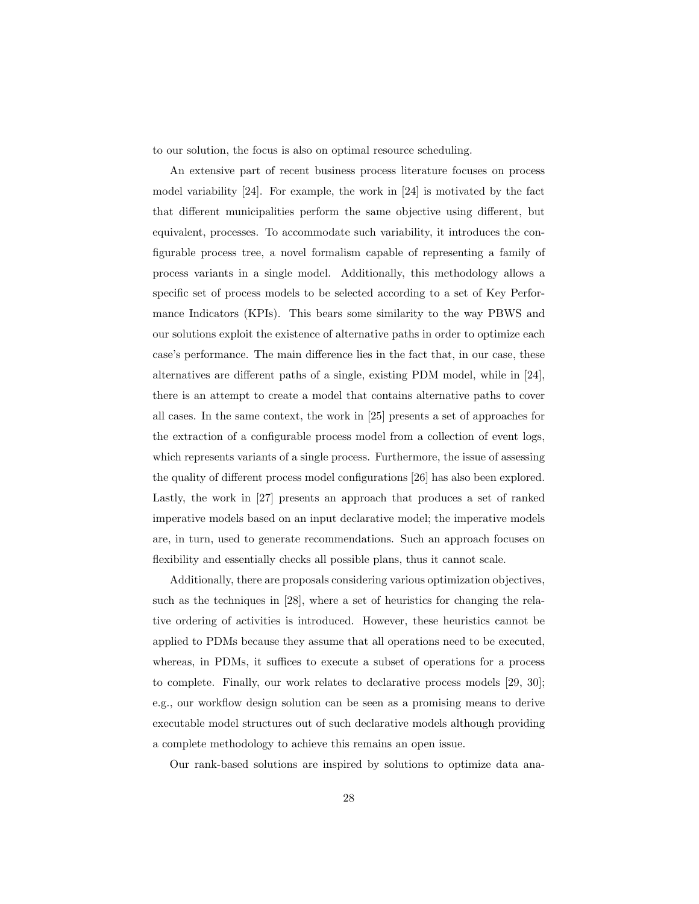to our solution, the focus is also on optimal resource scheduling.

An extensive part of recent business process literature focuses on process model variability [\[24\]](#page-33-0). For example, the work in [\[24\]](#page-33-0) is motivated by the fact that different municipalities perform the same objective using different, but equivalent, processes. To accommodate such variability, it introduces the configurable process tree, a novel formalism capable of representing a family of process variants in a single model. Additionally, this methodology allows a specific set of process models to be selected according to a set of Key Performance Indicators (KPIs). This bears some similarity to the way PBWS and our solutions exploit the existence of alternative paths in order to optimize each case's performance. The main difference lies in the fact that, in our case, these alternatives are different paths of a single, existing PDM model, while in [\[24\]](#page-33-0), there is an attempt to create a model that contains alternative paths to cover all cases. In the same context, the work in [\[25\]](#page-33-1) presents a set of approaches for the extraction of a configurable process model from a collection of event logs, which represents variants of a single process. Furthermore, the issue of assessing the quality of different process model configurations [\[26\]](#page-33-2) has also been explored. Lastly, the work in [\[27\]](#page-33-3) presents an approach that produces a set of ranked imperative models based on an input declarative model; the imperative models are, in turn, used to generate recommendations. Such an approach focuses on flexibility and essentially checks all possible plans, thus it cannot scale.

Additionally, there are proposals considering various optimization objectives, such as the techniques in [\[28\]](#page-33-4), where a set of heuristics for changing the relative ordering of activities is introduced. However, these heuristics cannot be applied to PDMs because they assume that all operations need to be executed, whereas, in PDMs, it suffices to execute a subset of operations for a process to complete. Finally, our work relates to declarative process models [\[29,](#page-33-5) [30\]](#page-33-6); e.g., our workflow design solution can be seen as a promising means to derive executable model structures out of such declarative models although providing a complete methodology to achieve this remains an open issue.

Our rank-based solutions are inspired by solutions to optimize data ana-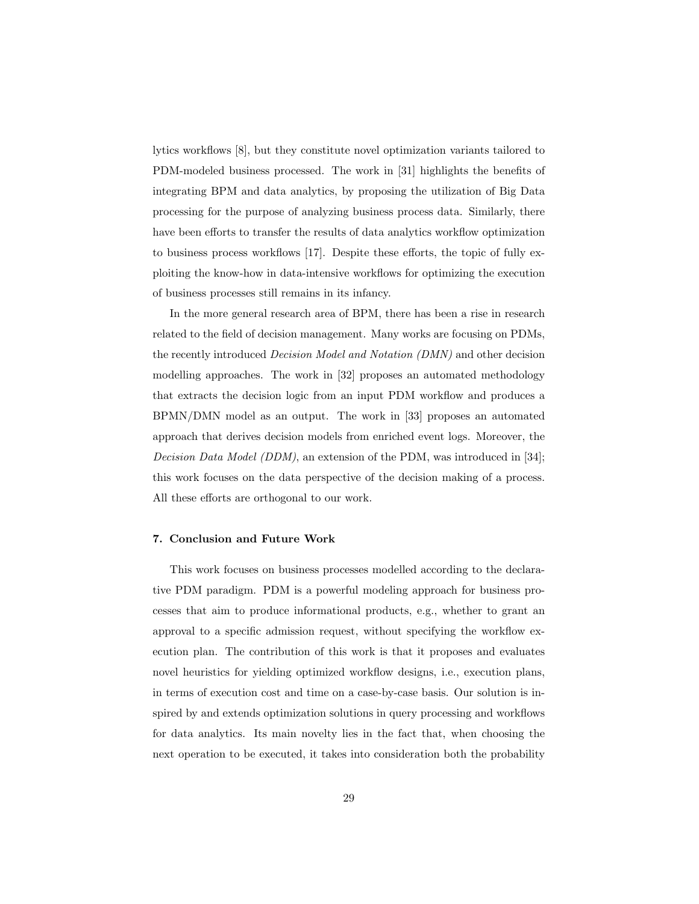lytics workflows [\[8\]](#page-30-7), but they constitute novel optimization variants tailored to PDM-modeled business processed. The work in [\[31\]](#page-34-0) highlights the benefits of integrating BPM and data analytics, by proposing the utilization of Big Data processing for the purpose of analyzing business process data. Similarly, there have been efforts to transfer the results of data analytics workflow optimization to business process workflows [\[17\]](#page-31-7). Despite these efforts, the topic of fully exploiting the know-how in data-intensive workflows for optimizing the execution of business processes still remains in its infancy.

In the more general research area of BPM, there has been a rise in research related to the field of decision management. Many works are focusing on PDMs, the recently introduced Decision Model and Notation (DMN) and other decision modelling approaches. The work in [\[32\]](#page-34-1) proposes an automated methodology that extracts the decision logic from an input PDM workflow and produces a BPMN/DMN model as an output. The work in [\[33\]](#page-34-2) proposes an automated approach that derives decision models from enriched event logs. Moreover, the Decision Data Model (DDM), an extension of the PDM, was introduced in [\[34\]](#page-34-3); this work focuses on the data perspective of the decision making of a process. All these efforts are orthogonal to our work.

#### <span id="page-28-0"></span>7. Conclusion and Future Work

This work focuses on business processes modelled according to the declarative PDM paradigm. PDM is a powerful modeling approach for business processes that aim to produce informational products, e.g., whether to grant an approval to a specific admission request, without specifying the workflow execution plan. The contribution of this work is that it proposes and evaluates novel heuristics for yielding optimized workflow designs, i.e., execution plans, in terms of execution cost and time on a case-by-case basis. Our solution is inspired by and extends optimization solutions in query processing and workflows for data analytics. Its main novelty lies in the fact that, when choosing the next operation to be executed, it takes into consideration both the probability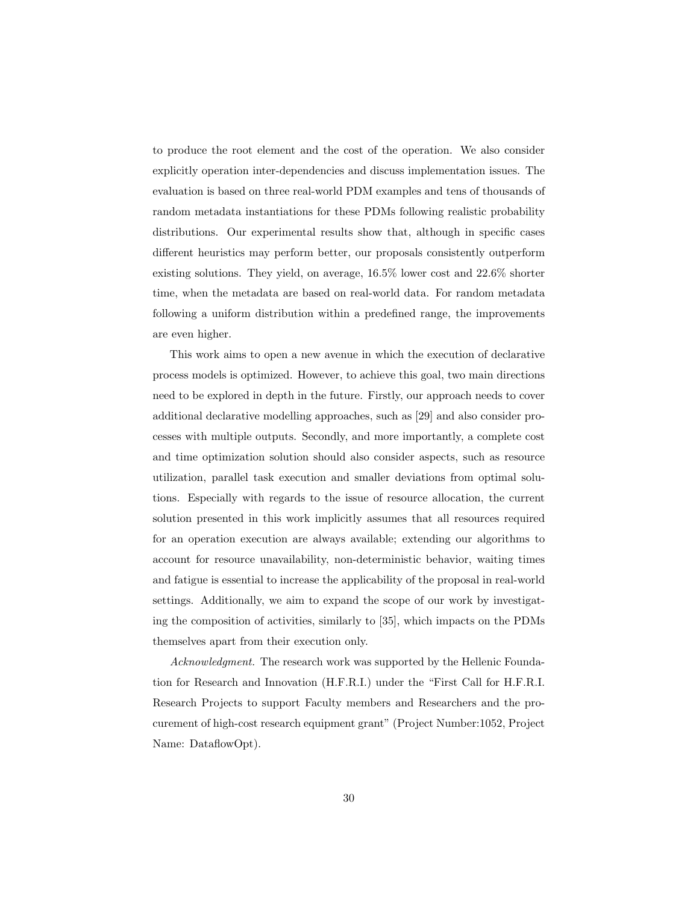to produce the root element and the cost of the operation. We also consider explicitly operation inter-dependencies and discuss implementation issues. The evaluation is based on three real-world PDM examples and tens of thousands of random metadata instantiations for these PDMs following realistic probability distributions. Our experimental results show that, although in specific cases different heuristics may perform better, our proposals consistently outperform existing solutions. They yield, on average, 16.5% lower cost and 22.6% shorter time, when the metadata are based on real-world data. For random metadata following a uniform distribution within a predefined range, the improvements are even higher.

This work aims to open a new avenue in which the execution of declarative process models is optimized. However, to achieve this goal, two main directions need to be explored in depth in the future. Firstly, our approach needs to cover additional declarative modelling approaches, such as [\[29\]](#page-33-5) and also consider processes with multiple outputs. Secondly, and more importantly, a complete cost and time optimization solution should also consider aspects, such as resource utilization, parallel task execution and smaller deviations from optimal solutions. Especially with regards to the issue of resource allocation, the current solution presented in this work implicitly assumes that all resources required for an operation execution are always available; extending our algorithms to account for resource unavailability, non-deterministic behavior, waiting times and fatigue is essential to increase the applicability of the proposal in real-world settings. Additionally, we aim to expand the scope of our work by investigating the composition of activities, similarly to [\[35\]](#page-34-4), which impacts on the PDMs themselves apart from their execution only.

Acknowledgment. The research work was supported by the Hellenic Foundation for Research and Innovation (H.F.R.I.) under the "First Call for H.F.R.I. Research Projects to support Faculty members and Researchers and the procurement of high-cost research equipment grant" (Project Number:1052, Project Name: DataflowOpt).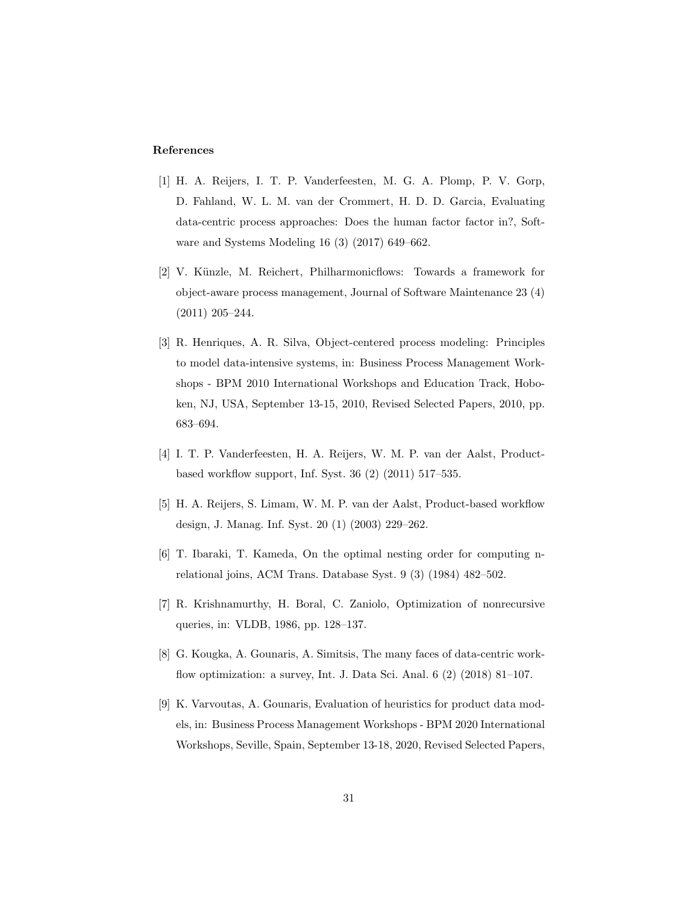## References

- <span id="page-30-0"></span>[1] H. A. Reijers, I. T. P. Vanderfeesten, M. G. A. Plomp, P. V. Gorp, D. Fahland, W. L. M. van der Crommert, H. D. D. Garcia, Evaluating data-centric process approaches: Does the human factor factor in?, Software and Systems Modeling 16 (3) (2017) 649–662.
- <span id="page-30-1"></span>[2] V. Künzle, M. Reichert, Philharmonicflows: Towards a framework for object-aware process management, Journal of Software Maintenance 23 (4) (2011) 205–244.
- <span id="page-30-2"></span>[3] R. Henriques, A. R. Silva, Object-centered process modeling: Principles to model data-intensive systems, in: Business Process Management Workshops - BPM 2010 International Workshops and Education Track, Hoboken, NJ, USA, September 13-15, 2010, Revised Selected Papers, 2010, pp. 683–694.
- <span id="page-30-3"></span>[4] I. T. P. Vanderfeesten, H. A. Reijers, W. M. P. van der Aalst, Productbased workflow support, Inf. Syst. 36 (2) (2011) 517–535.
- <span id="page-30-4"></span>[5] H. A. Reijers, S. Limam, W. M. P. van der Aalst, Product-based workflow design, J. Manag. Inf. Syst. 20 (1) (2003) 229–262.
- <span id="page-30-5"></span>[6] T. Ibaraki, T. Kameda, On the optimal nesting order for computing nrelational joins, ACM Trans. Database Syst. 9 (3) (1984) 482–502.
- <span id="page-30-6"></span>[7] R. Krishnamurthy, H. Boral, C. Zaniolo, Optimization of nonrecursive queries, in: VLDB, 1986, pp. 128–137.
- <span id="page-30-7"></span>[8] G. Kougka, A. Gounaris, A. Simitsis, The many faces of data-centric workflow optimization: a survey, Int. J. Data Sci. Anal. 6 (2) (2018) 81–107.
- <span id="page-30-8"></span>[9] K. Varvoutas, A. Gounaris, Evaluation of heuristics for product data models, in: Business Process Management Workshops - BPM 2020 International Workshops, Seville, Spain, September 13-18, 2020, Revised Selected Papers,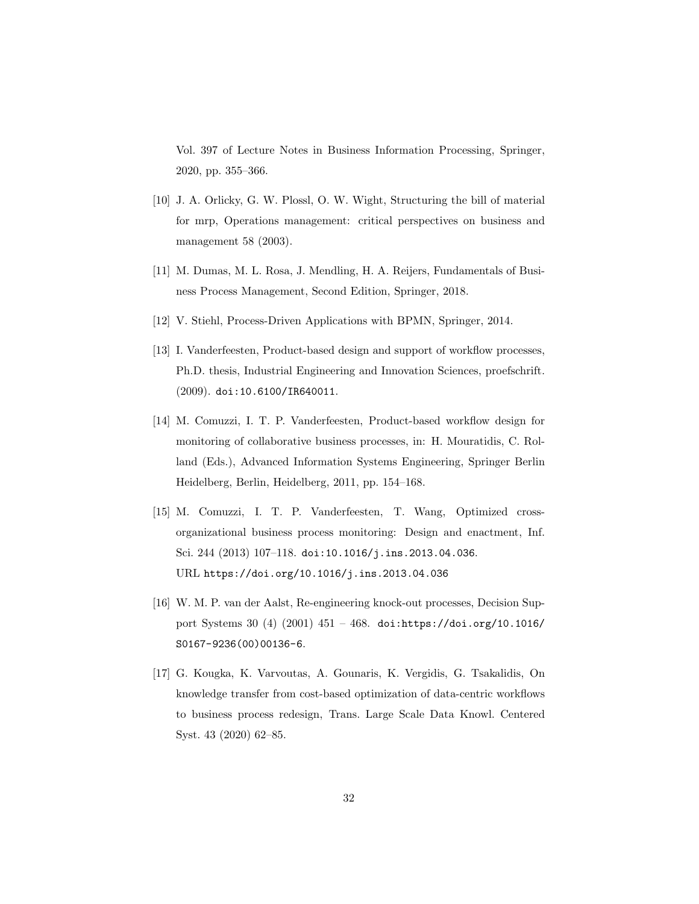Vol. 397 of Lecture Notes in Business Information Processing, Springer, 2020, pp. 355–366.

- <span id="page-31-0"></span>[10] J. A. Orlicky, G. W. Plossl, O. W. Wight, Structuring the bill of material for mrp, Operations management: critical perspectives on business and management 58 (2003).
- <span id="page-31-1"></span>[11] M. Dumas, M. L. Rosa, J. Mendling, H. A. Reijers, Fundamentals of Business Process Management, Second Edition, Springer, 2018.
- <span id="page-31-2"></span>[12] V. Stiehl, Process-Driven Applications with BPMN, Springer, 2014.
- <span id="page-31-3"></span>[13] I. Vanderfeesten, Product-based design and support of workflow processes, Ph.D. thesis, Industrial Engineering and Innovation Sciences, proefschrift. (2009). [doi:10.6100/IR640011](https://doi.org/10.6100/IR640011).
- <span id="page-31-4"></span>[14] M. Comuzzi, I. T. P. Vanderfeesten, Product-based workflow design for monitoring of collaborative business processes, in: H. Mouratidis, C. Rolland (Eds.), Advanced Information Systems Engineering, Springer Berlin Heidelberg, Berlin, Heidelberg, 2011, pp. 154–168.
- <span id="page-31-5"></span>[15] M. Comuzzi, I. T. P. Vanderfeesten, T. Wang, [Optimized cross](https://doi.org/10.1016/j.ins.2013.04.036)[organizational business process monitoring: Design and enactment,](https://doi.org/10.1016/j.ins.2013.04.036) Inf. Sci. 244 (2013) 107–118. [doi:10.1016/j.ins.2013.04.036](https://doi.org/10.1016/j.ins.2013.04.036). URL <https://doi.org/10.1016/j.ins.2013.04.036>
- <span id="page-31-6"></span>[16] W. M. P. van der Aalst, Re-engineering knock-out processes, Decision Support Systems 30 (4) (2001) 451 – 468. [doi:https://doi.org/10.1016/](https://doi.org/https://doi.org/10.1016/S0167-9236(00)00136-6) [S0167-9236\(00\)00136-6](https://doi.org/https://doi.org/10.1016/S0167-9236(00)00136-6).
- <span id="page-31-7"></span>[17] G. Kougka, K. Varvoutas, A. Gounaris, K. Vergidis, G. Tsakalidis, On knowledge transfer from cost-based optimization of data-centric workflows to business process redesign, Trans. Large Scale Data Knowl. Centered Syst. 43 (2020) 62–85.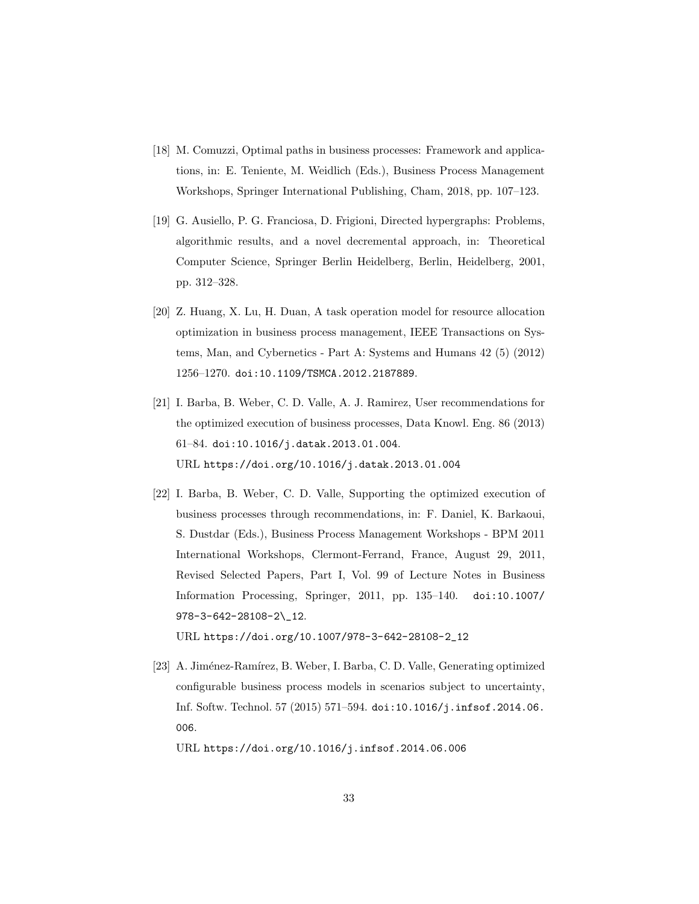- <span id="page-32-0"></span>[18] M. Comuzzi, Optimal paths in business processes: Framework and applications, in: E. Teniente, M. Weidlich (Eds.), Business Process Management Workshops, Springer International Publishing, Cham, 2018, pp. 107–123.
- <span id="page-32-1"></span>[19] G. Ausiello, P. G. Franciosa, D. Frigioni, Directed hypergraphs: Problems, algorithmic results, and a novel decremental approach, in: Theoretical Computer Science, Springer Berlin Heidelberg, Berlin, Heidelberg, 2001, pp. 312–328.
- <span id="page-32-2"></span>[20] Z. Huang, X. Lu, H. Duan, A task operation model for resource allocation optimization in business process management, IEEE Transactions on Systems, Man, and Cybernetics - Part A: Systems and Humans 42 (5) (2012) 1256–1270. [doi:10.1109/TSMCA.2012.2187889](https://doi.org/10.1109/TSMCA.2012.2187889).
- <span id="page-32-3"></span>[21] I. Barba, B. Weber, C. D. Valle, A. J. Ramirez, [User recommendations for](https://doi.org/10.1016/j.datak.2013.01.004) [the optimized execution of business processes,](https://doi.org/10.1016/j.datak.2013.01.004) Data Knowl. Eng. 86 (2013) 61–84. [doi:10.1016/j.datak.2013.01.004](https://doi.org/10.1016/j.datak.2013.01.004). URL <https://doi.org/10.1016/j.datak.2013.01.004>
- <span id="page-32-4"></span>[22] I. Barba, B. Weber, C. D. Valle, [Supporting the optimized execution of](https://doi.org/10.1007/978-3-642-28108-2_12) [business processes through recommendations,](https://doi.org/10.1007/978-3-642-28108-2_12) in: F. Daniel, K. Barkaoui, S. Dustdar (Eds.), Business Process Management Workshops - BPM 2011 International Workshops, Clermont-Ferrand, France, August 29, 2011, Revised Selected Papers, Part I, Vol. 99 of Lecture Notes in Business Information Processing, Springer, 2011, pp. 135–140. [doi:10.1007/](https://doi.org/10.1007/978-3-642-28108-2_12) [978-3-642-28108-2\\\_12](https://doi.org/10.1007/978-3-642-28108-2_12). URL [https://doi.org/10.1007/978-3-642-28108-2\\_12](https://doi.org/10.1007/978-3-642-28108-2_12)
- <span id="page-32-5"></span>[23] A. Jiménez-Ramírez, B. Weber, I. Barba, C. D. Valle, [Generating optimized](https://doi.org/10.1016/j.infsof.2014.06.006) [configurable business process models in scenarios subject to uncertainty,](https://doi.org/10.1016/j.infsof.2014.06.006) Inf. Softw. Technol. 57 (2015) 571–594. [doi:10.1016/j.infsof.2014.06.](https://doi.org/10.1016/j.infsof.2014.06.006) [006](https://doi.org/10.1016/j.infsof.2014.06.006).

URL <https://doi.org/10.1016/j.infsof.2014.06.006>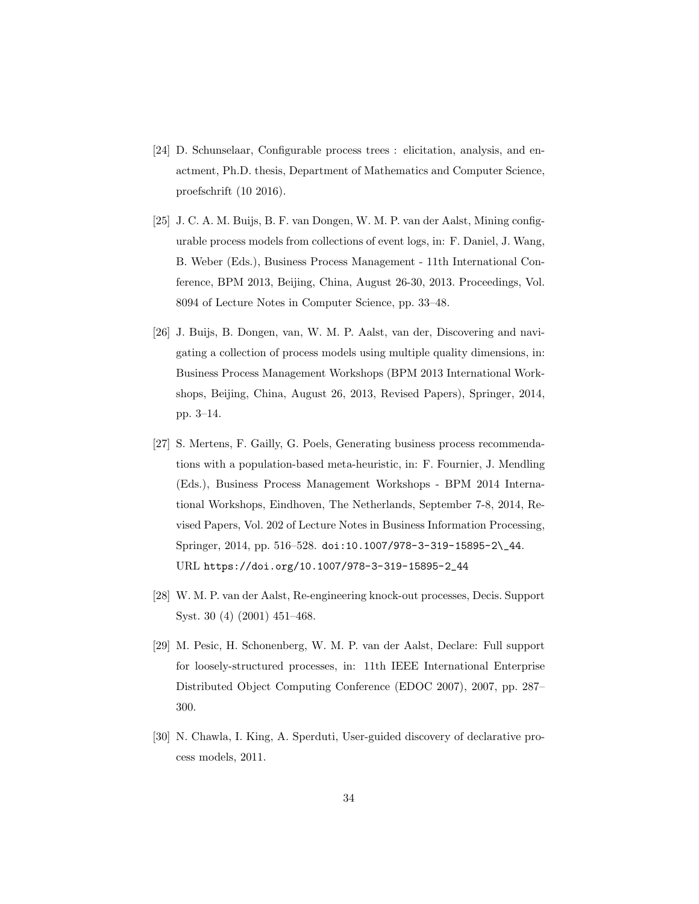- <span id="page-33-0"></span>[24] D. Schunselaar, Configurable process trees : elicitation, analysis, and enactment, Ph.D. thesis, Department of Mathematics and Computer Science, proefschrift (10 2016).
- <span id="page-33-1"></span>[25] J. C. A. M. Buijs, B. F. van Dongen, W. M. P. van der Aalst, Mining configurable process models from collections of event logs, in: F. Daniel, J. Wang, B. Weber (Eds.), Business Process Management - 11th International Conference, BPM 2013, Beijing, China, August 26-30, 2013. Proceedings, Vol. 8094 of Lecture Notes in Computer Science, pp. 33–48.
- <span id="page-33-2"></span>[26] J. Buijs, B. Dongen, van, W. M. P. Aalst, van der, Discovering and navigating a collection of process models using multiple quality dimensions, in: Business Process Management Workshops (BPM 2013 International Workshops, Beijing, China, August 26, 2013, Revised Papers), Springer, 2014, pp. 3–14.
- <span id="page-33-3"></span>[27] S. Mertens, F. Gailly, G. Poels, [Generating business process recommenda](https://doi.org/10.1007/978-3-319-15895-2_44)[tions with a population-based meta-heuristic,](https://doi.org/10.1007/978-3-319-15895-2_44) in: F. Fournier, J. Mendling (Eds.), Business Process Management Workshops - BPM 2014 International Workshops, Eindhoven, The Netherlands, September 7-8, 2014, Revised Papers, Vol. 202 of Lecture Notes in Business Information Processing, Springer, 2014, pp. 516–528. [doi:10.1007/978-3-319-15895-2\\\_44](https://doi.org/10.1007/978-3-319-15895-2_44). URL [https://doi.org/10.1007/978-3-319-15895-2\\_44](https://doi.org/10.1007/978-3-319-15895-2_44)
- <span id="page-33-4"></span>[28] W. M. P. van der Aalst, Re-engineering knock-out processes, Decis. Support Syst. 30 (4) (2001) 451–468.
- <span id="page-33-5"></span>[29] M. Pesic, H. Schonenberg, W. M. P. van der Aalst, Declare: Full support for loosely-structured processes, in: 11th IEEE International Enterprise Distributed Object Computing Conference (EDOC 2007), 2007, pp. 287– 300.
- <span id="page-33-6"></span>[30] N. Chawla, I. King, A. Sperduti, User-guided discovery of declarative process models, 2011.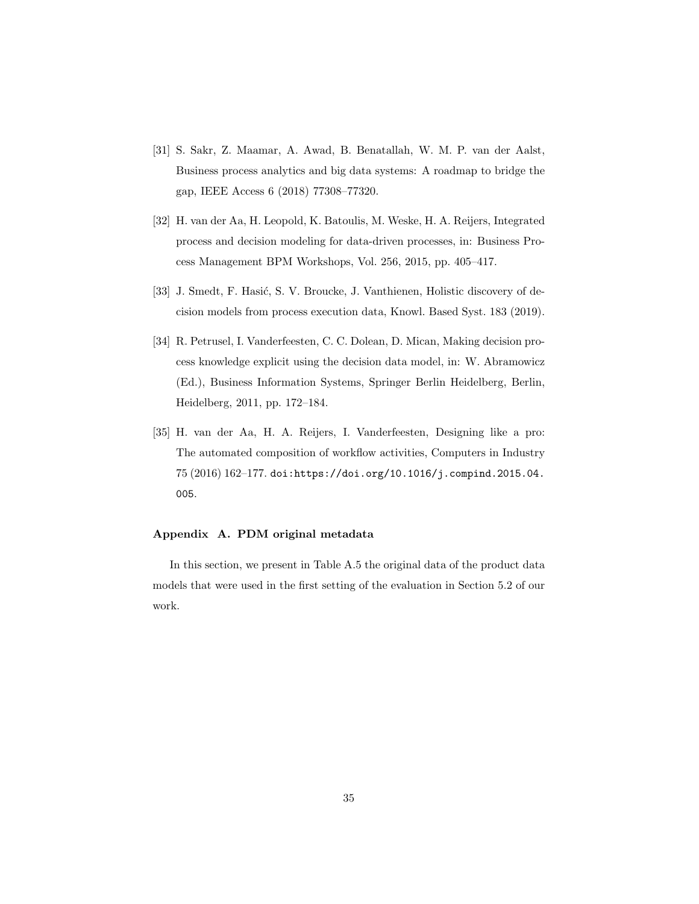- <span id="page-34-0"></span>[31] S. Sakr, Z. Maamar, A. Awad, B. Benatallah, W. M. P. van der Aalst, Business process analytics and big data systems: A roadmap to bridge the gap, IEEE Access 6 (2018) 77308–77320.
- <span id="page-34-1"></span>[32] H. van der Aa, H. Leopold, K. Batoulis, M. Weske, H. A. Reijers, Integrated process and decision modeling for data-driven processes, in: Business Process Management BPM Workshops, Vol. 256, 2015, pp. 405–417.
- <span id="page-34-2"></span>[33] J. Smedt, F. Hasić, S. V. Broucke, J. Vanthienen, Holistic discovery of decision models from process execution data, Knowl. Based Syst. 183 (2019).
- <span id="page-34-3"></span>[34] R. Petrusel, I. Vanderfeesten, C. C. Dolean, D. Mican, Making decision process knowledge explicit using the decision data model, in: W. Abramowicz (Ed.), Business Information Systems, Springer Berlin Heidelberg, Berlin, Heidelberg, 2011, pp. 172–184.
- <span id="page-34-4"></span>[35] H. van der Aa, H. A. Reijers, I. Vanderfeesten, Designing like a pro: The automated composition of workflow activities, Computers in Industry 75 (2016) 162–177. [doi:https://doi.org/10.1016/j.compind.2015.04.](https://doi.org/https://doi.org/10.1016/j.compind.2015.04.005) [005](https://doi.org/https://doi.org/10.1016/j.compind.2015.04.005).

## Appendix A. PDM original metadata

In this section, we present in Table [A.5](#page-35-0) the original data of the product data models that were used in the first setting of the evaluation in Section [5.2](#page-20-0) of our work.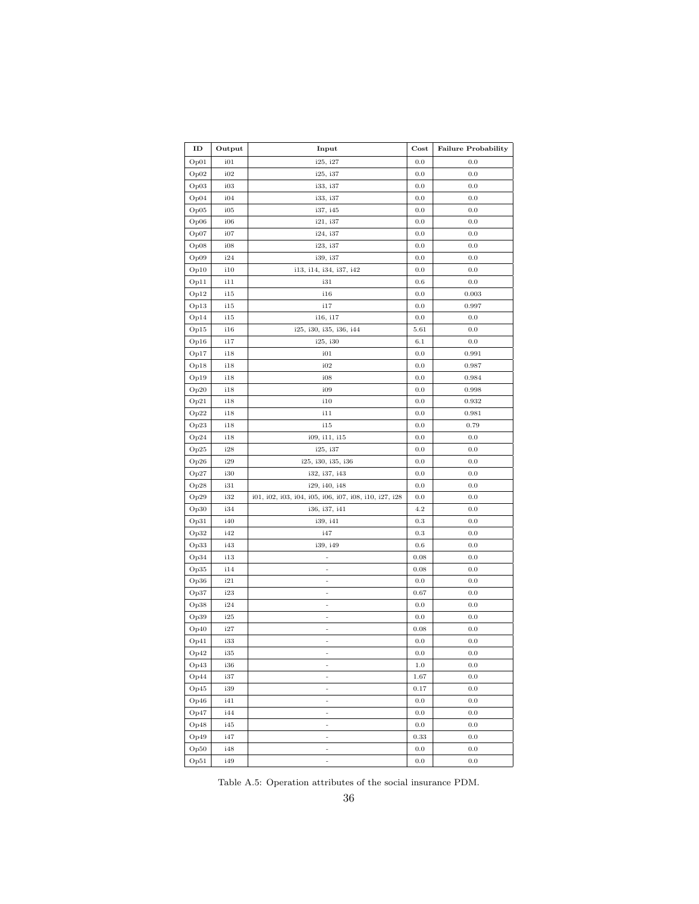| ID         | Output       | Input                                                 | $\mathbf{Cost}$ | <b>Failure Probability</b> |
|------------|--------------|-------------------------------------------------------|-----------------|----------------------------|
| Op01       | i01          | i25, i27                                              | 0.0             | 0.0                        |
| Op02       | i02          | i25, i37                                              | 0.0             | 0.0                        |
| Op03       | i03          | i33, i37                                              | 0.0             | 0.0                        |
| Op04       | i04          | i33, i37                                              | 0.0             | 0.0                        |
| Op05       | i05          | i37, i45                                              | 0.0             | 0.0                        |
| Op06       | i06          | i21, i37                                              | 0.0             | 0.0                        |
| Op07       | 107          | i24, i37                                              | 0.0             | 0.0                        |
| Op08       | i08          | i23, i37                                              | 0.0             | 0.0                        |
| Op09       | i24          | i39, i37                                              | 0.0             | 0.0                        |
| Op10       | 110          | i13, i14, i34, i37, i42                               | 0.0             | 0.0                        |
| Op11       | 111          | i31                                                   | 0.6             | 0.0                        |
| Op12       | 115          | 116                                                   | 0.0             | 0.003                      |
| Op13       | 115          | 117                                                   | 0.0             | 0.997                      |
| Op14       | 115          | i16, i17                                              | 0.0             | 0.0                        |
| Op15       | 116          | i25, i30, i35, i36, i44                               | 5.61            | 0.0                        |
| Op16       | 117          | i25, i30                                              | $6.1\,$         | 0.0                        |
| Op17       | 118          | i01                                                   | 0.0             | 0.991                      |
| Op18       | i18          | i02                                                   | 0.0             | 0.987                      |
| Op19       | 118          | i08                                                   | 0.0             | 0.984                      |
| Op20       | 118          | 109                                                   | 0.0             | 0.998                      |
| Op21       | i18          | i10                                                   | 0.0             | 0.932                      |
| Op22       | i18          | i11                                                   | 0.0             | 0.981                      |
| Op23       | i18          | i15                                                   | 0.0             | 0.79                       |
| Op24       | 118          | i09, i11, i15                                         | 0.0             | 0.0                        |
| Op25       | i28          | i25, i37                                              | 0.0             | 0.0                        |
| Op26       | i29          | i25, i30, i35, i36                                    | 0.0             | 0.0                        |
| Op27       | i30          | i32, i37, i43                                         | 0.0             | 0.0                        |
| Op28       | 131          | i29, i40, i48                                         | 0.0             | 0.0                        |
| Op29       | i32          | i01, i02, i03, i04, i05, i06, i07, i08, i10, i27, i28 | 0.0             | 0.0                        |
| Op30       | i34          | i36, i37, i41                                         | 4.2             | 0.0                        |
| Op31       | i40          | i39, i41                                              | 0.3             | 0.0                        |
| Op32       | i42          | 147                                                   | $\rm 0.3$       | 0.0                        |
| Op33       | i43          | i39, i49                                              | 0.6             | 0.0                        |
| Op34       | i13          | $\frac{1}{2}$                                         | 0.08            | 0.0                        |
| Op35       | 114          | ÷                                                     | 0.08            | 0.0                        |
| Op36       | i21          | $\overline{\phantom{m}}$                              | $0.0\,$         | 0.0                        |
| Op37       | i23          | $\overline{\phantom{m}}$                              | 0.67            | 0.0                        |
| Op38       | i24          | ÷,                                                    | 0.0             | 0.0                        |
| Op39       | i25          | $\overline{\phantom{m}}$                              | 0.0             | 0.0                        |
| Op40       | i27          | ÷                                                     | 0.08            | 0.0                        |
| Op41       | i33          | ÷                                                     | 0.0             | 0.0                        |
| $\rm Op42$ | $^{\rm i35}$ |                                                       | $0.0\,$         | $0.0\,$                    |
| Op43       | i36          | $\overline{\phantom{0}}$                              | $1.0\,$         | 0.0                        |
| Op44       | i37          | ÷                                                     | $1.67\,$        | $0.0\,$                    |
| Op45       | i39          | $\overline{\phantom{0}}$                              | 0.17            | $0.0\,$                    |
| Op46       | i41          | $\overline{\phantom{0}}$                              | $0.0\,$         | $0.0\,$                    |
| Op47       | i44          | $\frac{1}{2}$                                         | $0.0\,$         | $0.0\,$                    |
| Op48       | i45          | ÷                                                     | $0.0\,$         | $0.0\,$                    |
| Op49       | i47          | $\overline{\phantom{0}}$                              | 0.33            | $0.0\,$                    |
| Op50       | i48          | ÷,                                                    | $0.0\,$         | $0.0\,$                    |
| Op51       | i49          | $\frac{1}{2}$                                         | $0.0\,$         | $0.0\,$                    |

<span id="page-35-0"></span>Table A.5: Operation attributes of the social insurance PDM.